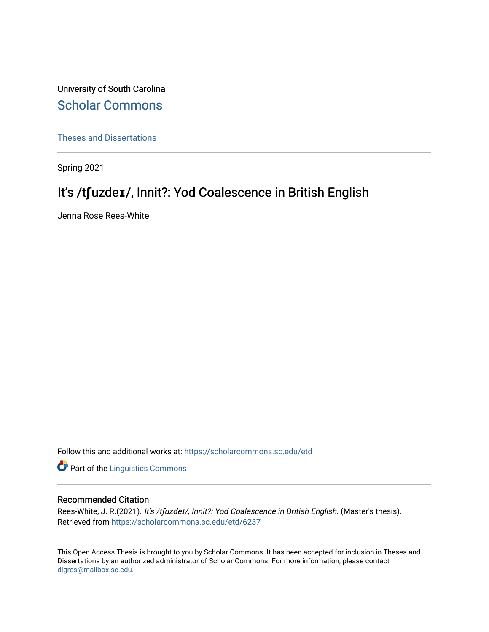University of South Carolina [Scholar Commons](https://scholarcommons.sc.edu/) 

[Theses and Dissertations](https://scholarcommons.sc.edu/etd)

Spring 2021

# It's /tfuzde**ɪ**/, Innit?: Yod Coalescence in British English

Jenna Rose Rees-White

Follow this and additional works at: [https://scholarcommons.sc.edu/etd](https://scholarcommons.sc.edu/etd?utm_source=scholarcommons.sc.edu%2Fetd%2F6237&utm_medium=PDF&utm_campaign=PDFCoverPages)

**Part of the Linguistics Commons** 

### Recommended Citation

Rees-White, J. R.(2021). It's /t[uzdeɪ/, Innit?: Yod Coalescence in British English. (Master's thesis). Retrieved from [https://scholarcommons.sc.edu/etd/6237](https://scholarcommons.sc.edu/etd/6237?utm_source=scholarcommons.sc.edu%2Fetd%2F6237&utm_medium=PDF&utm_campaign=PDFCoverPages) 

This Open Access Thesis is brought to you by Scholar Commons. It has been accepted for inclusion in Theses and Dissertations by an authorized administrator of Scholar Commons. For more information, please contact [digres@mailbox.sc.edu](mailto:digres@mailbox.sc.edu).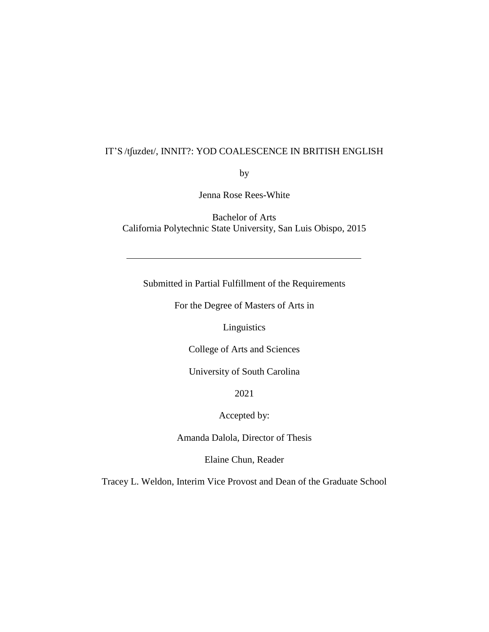## IT'S /tʃuzdeɪ/, INNIT?: YOD COALESCENCE IN BRITISH ENGLISH

by

Jenna Rose Rees-White

Bachelor of Arts California Polytechnic State University, San Luis Obispo, 2015

Submitted in Partial Fulfillment of the Requirements

For the Degree of Masters of Arts in

Linguistics

College of Arts and Sciences

University of South Carolina

2021

Accepted by:

Amanda Dalola, Director of Thesis

Elaine Chun, Reader

Tracey L. Weldon, Interim Vice Provost and Dean of the Graduate School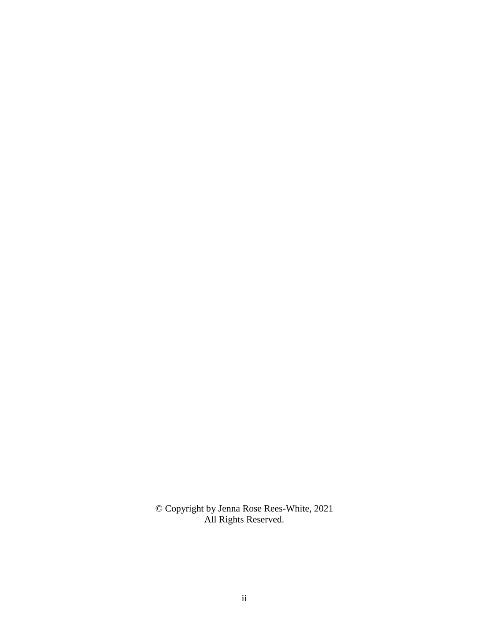© Copyright by Jenna Rose Rees-White, 2021 All Rights Reserved.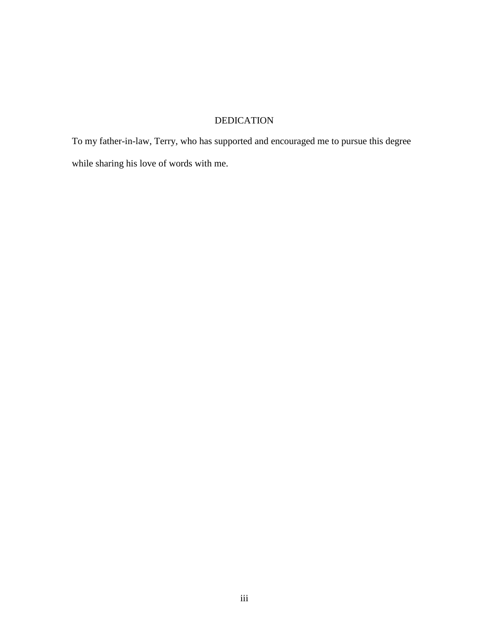## DEDICATION

To my father-in-law, Terry, who has supported and encouraged me to pursue this degree while sharing his love of words with me.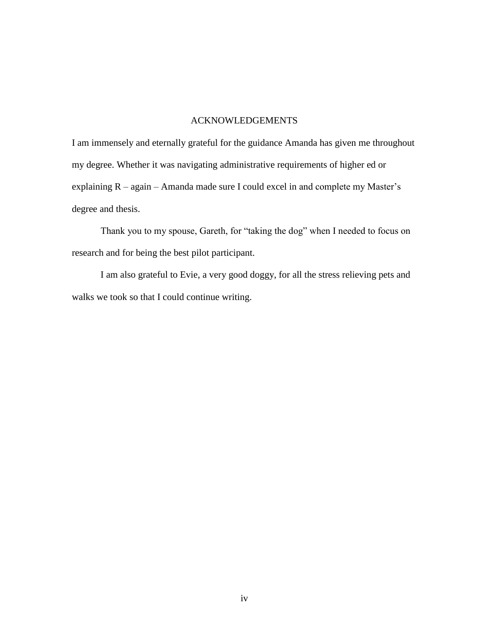### ACKNOWLEDGEMENTS

I am immensely and eternally grateful for the guidance Amanda has given me throughout my degree. Whether it was navigating administrative requirements of higher ed or explaining R – again – Amanda made sure I could excel in and complete my Master's degree and thesis.

Thank you to my spouse, Gareth, for "taking the dog" when I needed to focus on research and for being the best pilot participant.

I am also grateful to Evie, a very good doggy, for all the stress relieving pets and walks we took so that I could continue writing.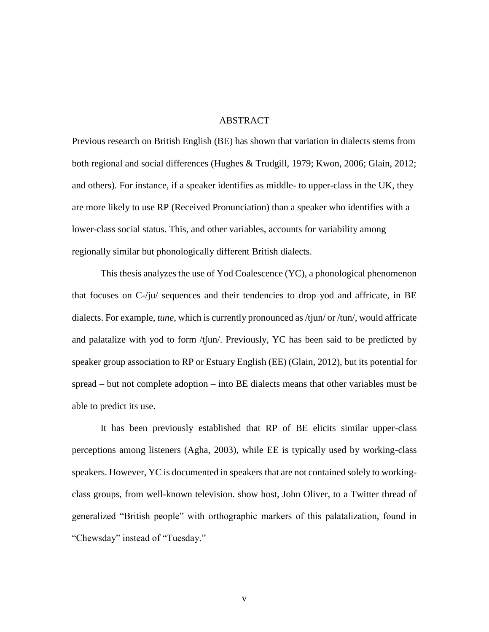#### ABSTRACT

Previous research on British English (BE) has shown that variation in dialects stems from both regional and social differences (Hughes & Trudgill, 1979; Kwon, 2006; Glain, 2012; and others). For instance, if a speaker identifies as middle- to upper-class in the UK, they are more likely to use RP (Received Pronunciation) than a speaker who identifies with a lower-class social status. This, and other variables, accounts for variability among regionally similar but phonologically different British dialects.

This thesis analyzes the use of Yod Coalescence (YC), a phonological phenomenon that focuses on C-/ju/ sequences and their tendencies to drop yod and affricate, in BE dialects. For example, *tune*, which is currently pronounced as /tjun/ or /tun/, would affricate and palatalize with yod to form /tʃun/. Previously, YC has been said to be predicted by speaker group association to RP or Estuary English (EE) (Glain, 2012), but its potential for spread – but not complete adoption – into BE dialects means that other variables must be able to predict its use.

It has been previously established that RP of BE elicits similar upper-class perceptions among listeners (Agha, 2003), while EE is typically used by working-class speakers. However, YC is documented in speakers that are not contained solely to workingclass groups, from well-known television. show host, John Oliver, to a Twitter thread of generalized "British people" with orthographic markers of this palatalization, found in "Chewsday" instead of "Tuesday."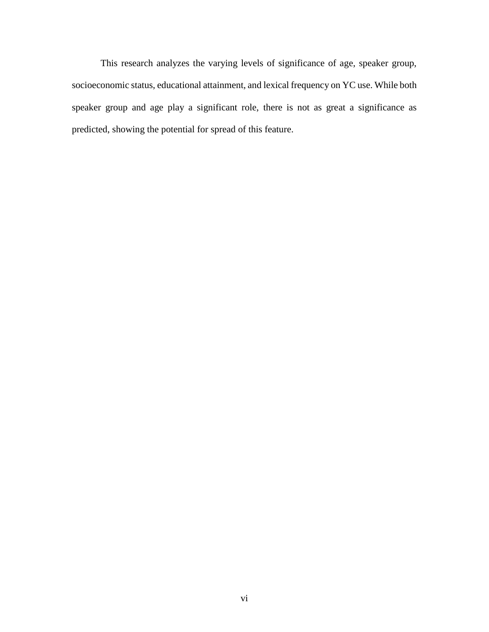This research analyzes the varying levels of significance of age, speaker group, socioeconomic status, educational attainment, and lexical frequency on YC use. While both speaker group and age play a significant role, there is not as great a significance as predicted, showing the potential for spread of this feature.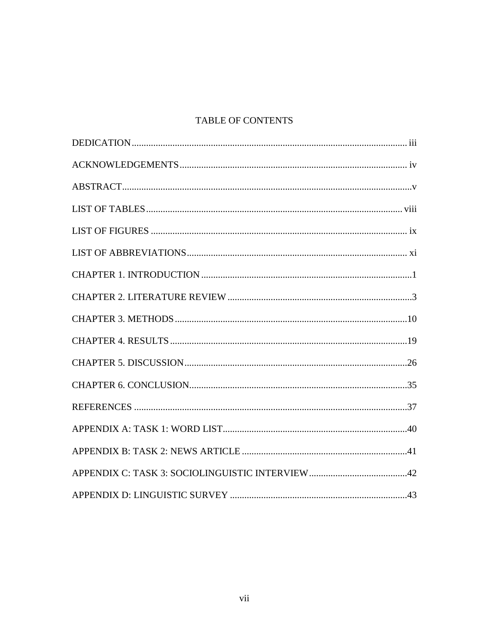## TABLE OF CONTENTS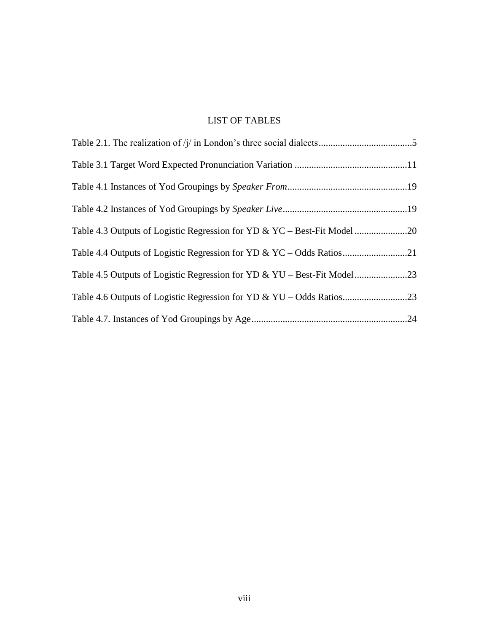## LIST OF TABLES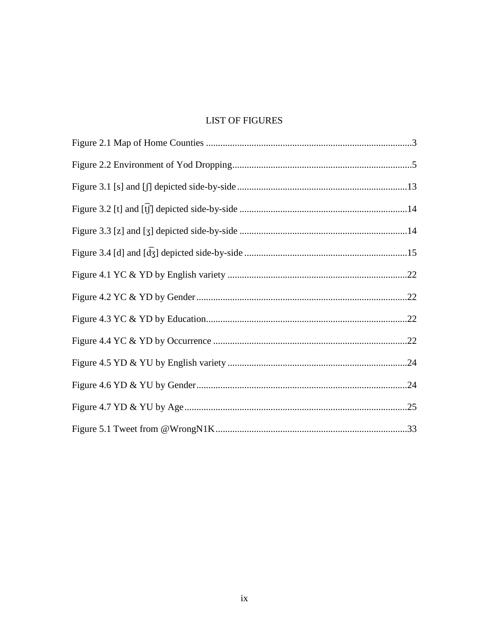## **LIST OF FIGURES**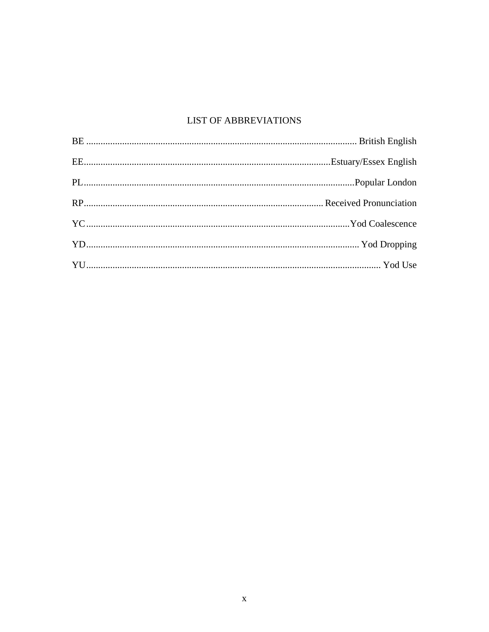## **LIST OF ABBREVIATIONS**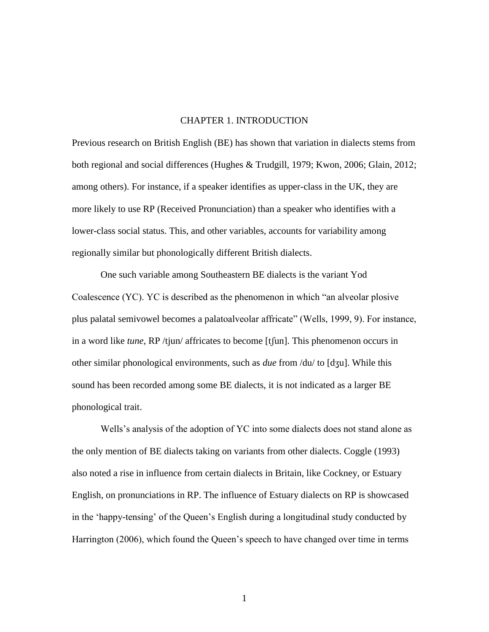#### CHAPTER 1. INTRODUCTION

Previous research on British English (BE) has shown that variation in dialects stems from both regional and social differences (Hughes & Trudgill, 1979; Kwon, 2006; Glain, 2012; among others). For instance, if a speaker identifies as upper-class in the UK, they are more likely to use RP (Received Pronunciation) than a speaker who identifies with a lower-class social status. This, and other variables, accounts for variability among regionally similar but phonologically different British dialects.

One such variable among Southeastern BE dialects is the variant Yod Coalescence (YC). YC is described as the phenomenon in which "an alveolar plosive plus palatal semivowel becomes a palatoalveolar affricate" (Wells, 1999, 9). For instance, in a word like *tune*, RP /tjun/ affricates to become [tʃun]. This phenomenon occurs in other similar phonological environments, such as *due* from /du/ to [dʒu]. While this sound has been recorded among some BE dialects, it is not indicated as a larger BE phonological trait.

Wells's analysis of the adoption of YC into some dialects does not stand alone as the only mention of BE dialects taking on variants from other dialects. Coggle (1993) also noted a rise in influence from certain dialects in Britain, like Cockney, or Estuary English, on pronunciations in RP. The influence of Estuary dialects on RP is showcased in the 'happy-tensing' of the Queen's English during a longitudinal study conducted by Harrington (2006), which found the Queen's speech to have changed over time in terms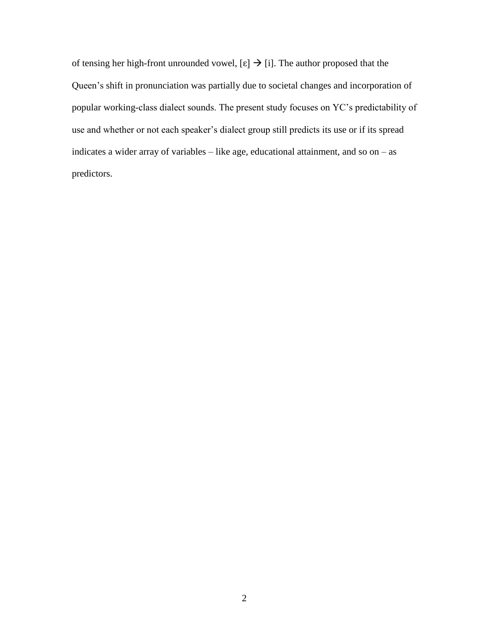of tensing her high-front unrounded vowel,  $[\epsilon] \rightarrow [i]$ . The author proposed that the Queen's shift in pronunciation was partially due to societal changes and incorporation of popular working-class dialect sounds. The present study focuses on YC's predictability of use and whether or not each speaker's dialect group still predicts its use or if its spread indicates a wider array of variables – like age, educational attainment, and so on – as predictors.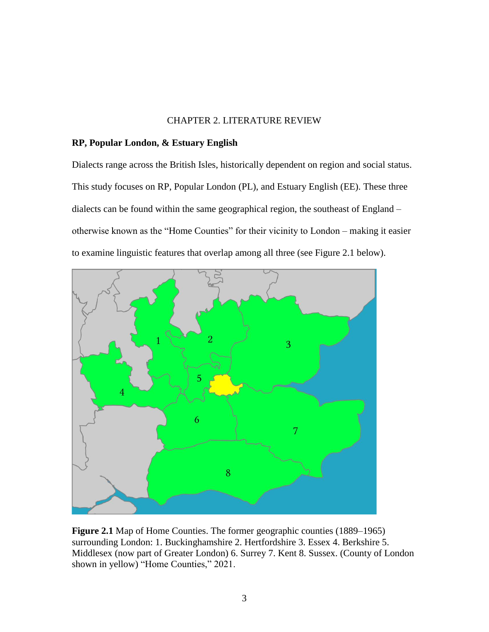#### CHAPTER 2. LITERATURE REVIEW

#### **RP, Popular London, & Estuary English**

Dialects range across the British Isles, historically dependent on region and social status. This study focuses on RP, Popular London (PL), and Estuary English (EE). These three dialects can be found within the same geographical region, the southeast of England – otherwise known as the "Home Counties" for their vicinity to London – making it easier to examine linguistic features that overlap among all three (see Figure 2.1 below).



**Figure 2.1** Map of Home Counties. The former geographic counties (1889–1965) surrounding London: 1. Buckinghamshire 2. Hertfordshire 3. Essex 4. Berkshire 5. Middlesex (now part of Greater London) 6. Surrey 7. Kent 8. Sussex. (County of London shown in yellow) "Home Counties," 2021.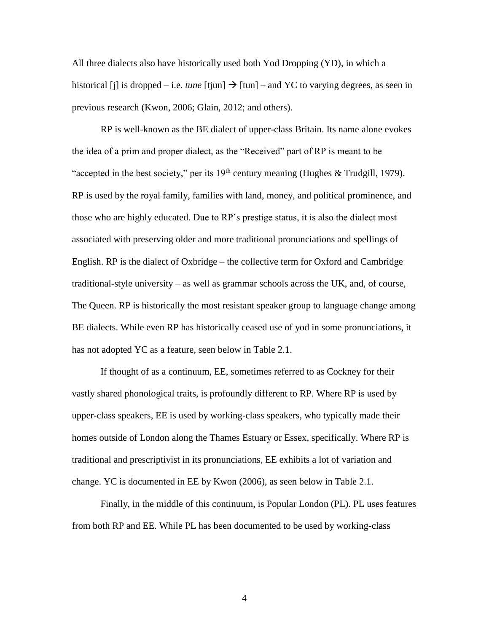All three dialects also have historically used both Yod Dropping (YD), in which a historical [j] is dropped – i.e. *tune* [tjun]  $\rightarrow$  [tun] – and YC to varying degrees, as seen in previous research (Kwon, 2006; Glain, 2012; and others).

RP is well-known as the BE dialect of upper-class Britain. Its name alone evokes the idea of a prim and proper dialect, as the "Received" part of RP is meant to be "accepted in the best society," per its  $19<sup>th</sup>$  century meaning (Hughes & Trudgill, 1979). RP is used by the royal family, families with land, money, and political prominence, and those who are highly educated. Due to RP's prestige status, it is also the dialect most associated with preserving older and more traditional pronunciations and spellings of English. RP is the dialect of Oxbridge – the collective term for Oxford and Cambridge traditional-style university – as well as grammar schools across the UK, and, of course, The Queen. RP is historically the most resistant speaker group to language change among BE dialects. While even RP has historically ceased use of yod in some pronunciations, it has not adopted YC as a feature, seen below in Table 2.1.

If thought of as a continuum, EE, sometimes referred to as Cockney for their vastly shared phonological traits, is profoundly different to RP. Where RP is used by upper-class speakers, EE is used by working-class speakers, who typically made their homes outside of London along the Thames Estuary or Essex, specifically. Where RP is traditional and prescriptivist in its pronunciations, EE exhibits a lot of variation and change. YC is documented in EE by Kwon (2006), as seen below in Table 2.1.

Finally, in the middle of this continuum, is Popular London (PL). PL uses features from both RP and EE. While PL has been documented to be used by working-class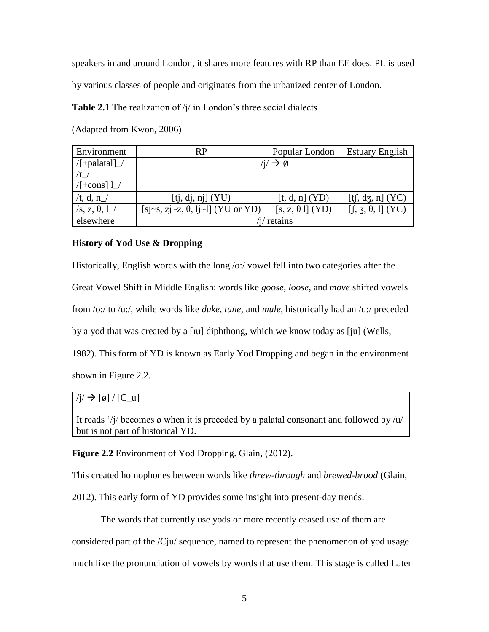speakers in and around London, it shares more features with RP than EE does. PL is used

by various classes of people and originates from the urbanized center of London.

**Table 2.1** The realization of  $\frac{1}{i}$  in London's three social dialects

(Adapted from Kwon, 2006)

| Environment                    | RP                                       | Popular London        | <b>Estuary English</b>              |  |  |
|--------------------------------|------------------------------------------|-----------------------|-------------------------------------|--|--|
| $/[+palatal]$                  | $/i \rightarrow \emptyset$               |                       |                                     |  |  |
| /r                             |                                          |                       |                                     |  |  |
| $/[+cons]$ $1$                 |                                          |                       |                                     |  |  |
| /t, d, n $\angle$              | [tj, dj, nj] (YU)                        | [t, d, n] (YD)        | [tf, dz, n] $(YC)$                  |  |  |
| $\sqrt{s}$ , z, $\theta$ , 1 / | [sj~s, zj~z, $\theta$ , lj~l] (YU or YD) | $[s, z, \theta]$ (YD) | $[f, \mathfrak{z}, \theta, 1]$ (YC) |  |  |
| elsewhere                      | retains                                  |                       |                                     |  |  |

## **History of Yod Use & Dropping**

Historically, English words with the long /o:/ vowel fell into two categories after the Great Vowel Shift in Middle English: words like *goose, loose,* and *move* shifted vowels from /o:/ to /u:/, while words like *duke, tune,* and *mule*, historically had an /u:/ preceded by a yod that was created by a [ɪu] diphthong, which we know today as [ju] (Wells, 1982). This form of YD is known as Early Yod Dropping and began in the environment shown in Figure 2.2.

 $/j \rightarrow [\emptyset] / [C_u]$ 

It reads '/j/ becomes ø when it is preceded by a palatal consonant and followed by  $/u/$ but is not part of historical YD.

**Figure 2.2** Environment of Yod Dropping. Glain, (2012).

This created homophones between words like *threw-through* and *brewed-brood* (Glain,

2012). This early form of YD provides some insight into present-day trends.

The words that currently use yods or more recently ceased use of them are considered part of the  $\overline{\text{C}}$ ju/ sequence, named to represent the phenomenon of yod usage – much like the pronunciation of vowels by words that use them. This stage is called Later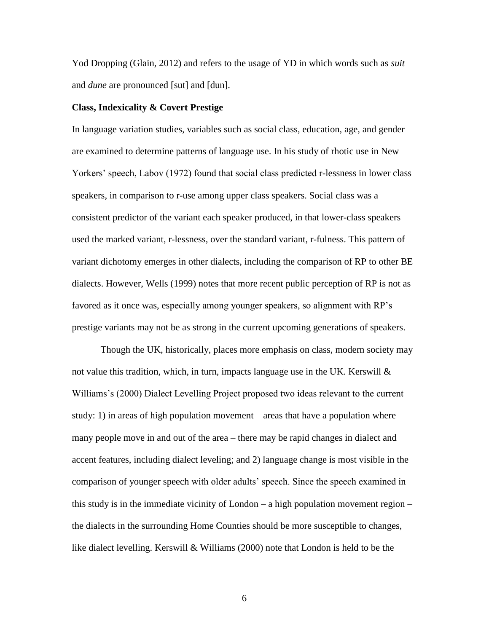Yod Dropping (Glain, 2012) and refers to the usage of YD in which words such as *suit* and *dune* are pronounced [sut] and [dun].

#### **Class, Indexicality & Covert Prestige**

In language variation studies, variables such as social class, education, age, and gender are examined to determine patterns of language use. In his study of rhotic use in New Yorkers' speech, Labov (1972) found that social class predicted r-lessness in lower class speakers, in comparison to r-use among upper class speakers. Social class was a consistent predictor of the variant each speaker produced, in that lower-class speakers used the marked variant, r-lessness, over the standard variant, r-fulness. This pattern of variant dichotomy emerges in other dialects, including the comparison of RP to other BE dialects. However, Wells (1999) notes that more recent public perception of RP is not as favored as it once was, especially among younger speakers, so alignment with RP's prestige variants may not be as strong in the current upcoming generations of speakers.

Though the UK, historically, places more emphasis on class, modern society may not value this tradition, which, in turn, impacts language use in the UK. Kerswill  $\&$ Williams's (2000) Dialect Levelling Project proposed two ideas relevant to the current study: 1) in areas of high population movement – areas that have a population where many people move in and out of the area – there may be rapid changes in dialect and accent features, including dialect leveling; and 2) language change is most visible in the comparison of younger speech with older adults' speech. Since the speech examined in this study is in the immediate vicinity of London – a high population movement region – the dialects in the surrounding Home Counties should be more susceptible to changes, like dialect levelling. Kerswill & Williams (2000) note that London is held to be the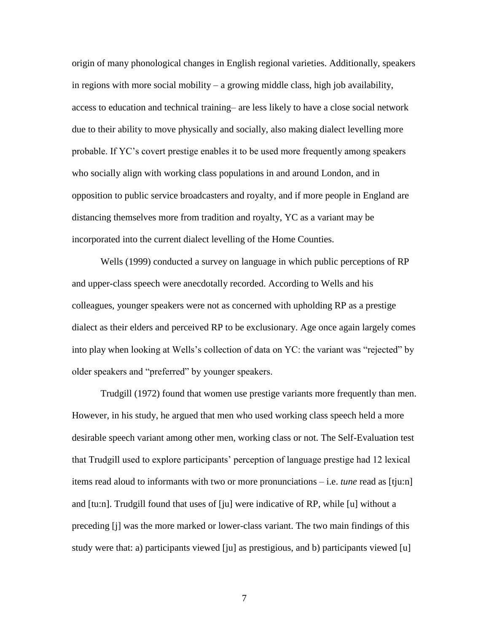origin of many phonological changes in English regional varieties. Additionally, speakers in regions with more social mobility – a growing middle class, high job availability, access to education and technical training– are less likely to have a close social network due to their ability to move physically and socially, also making dialect levelling more probable. If YC's covert prestige enables it to be used more frequently among speakers who socially align with working class populations in and around London, and in opposition to public service broadcasters and royalty, and if more people in England are distancing themselves more from tradition and royalty, YC as a variant may be incorporated into the current dialect levelling of the Home Counties.

Wells (1999) conducted a survey on language in which public perceptions of RP and upper-class speech were anecdotally recorded. According to Wells and his colleagues, younger speakers were not as concerned with upholding RP as a prestige dialect as their elders and perceived RP to be exclusionary. Age once again largely comes into play when looking at Wells's collection of data on YC: the variant was "rejected" by older speakers and "preferred" by younger speakers.

Trudgill (1972) found that women use prestige variants more frequently than men. However, in his study, he argued that men who used working class speech held a more desirable speech variant among other men, working class or not. The Self-Evaluation test that Trudgill used to explore participants' perception of language prestige had 12 lexical items read aloud to informants with two or more pronunciations – i.e. *tune* read as [tju:n] and [tu:n]. Trudgill found that uses of [ju] were indicative of RP, while [u] without a preceding [j] was the more marked or lower-class variant. The two main findings of this study were that: a) participants viewed [ju] as prestigious, and b) participants viewed [u]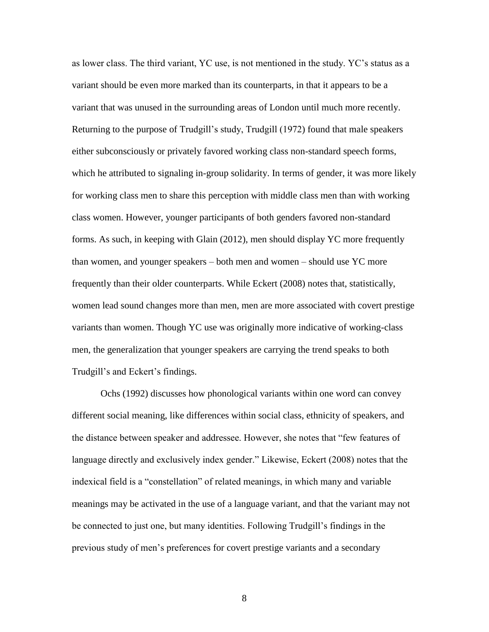as lower class. The third variant, YC use, is not mentioned in the study. YC's status as a variant should be even more marked than its counterparts, in that it appears to be a variant that was unused in the surrounding areas of London until much more recently. Returning to the purpose of Trudgill's study, Trudgill (1972) found that male speakers either subconsciously or privately favored working class non-standard speech forms, which he attributed to signaling in-group solidarity. In terms of gender, it was more likely for working class men to share this perception with middle class men than with working class women. However, younger participants of both genders favored non-standard forms. As such, in keeping with Glain (2012), men should display YC more frequently than women, and younger speakers – both men and women – should use YC more frequently than their older counterparts. While Eckert (2008) notes that, statistically, women lead sound changes more than men, men are more associated with covert prestige variants than women. Though YC use was originally more indicative of working-class men, the generalization that younger speakers are carrying the trend speaks to both Trudgill's and Eckert's findings.

Ochs (1992) discusses how phonological variants within one word can convey different social meaning, like differences within social class, ethnicity of speakers, and the distance between speaker and addressee. However, she notes that "few features of language directly and exclusively index gender." Likewise, Eckert (2008) notes that the indexical field is a "constellation" of related meanings, in which many and variable meanings may be activated in the use of a language variant, and that the variant may not be connected to just one, but many identities. Following Trudgill's findings in the previous study of men's preferences for covert prestige variants and a secondary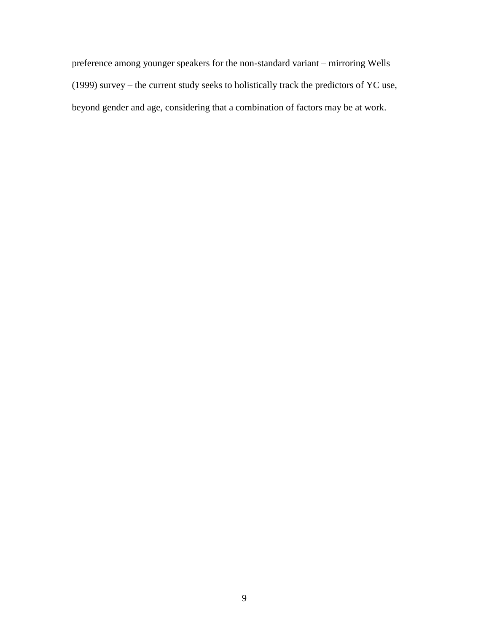preference among younger speakers for the non-standard variant – mirroring Wells (1999) survey – the current study seeks to holistically track the predictors of YC use, beyond gender and age, considering that a combination of factors may be at work.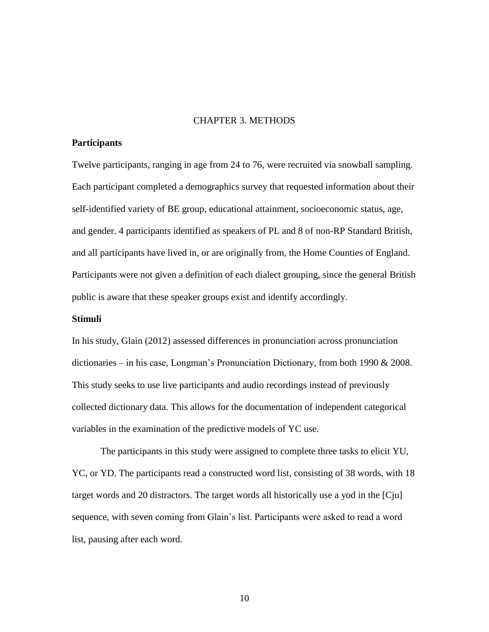#### CHAPTER 3. METHODS

#### **Participants**

Twelve participants, ranging in age from 24 to 76, were recruited via snowball sampling. Each participant completed a demographics survey that requested information about their self-identified variety of BE group, educational attainment, socioeconomic status, age, and gender. 4 participants identified as speakers of PL and 8 of non-RP Standard British, and all participants have lived in, or are originally from, the Home Counties of England. Participants were not given a definition of each dialect grouping, since the general British public is aware that these speaker groups exist and identify accordingly.

#### **Stimuli**

In his study, Glain (2012) assessed differences in pronunciation across pronunciation dictionaries – in his case, Longman's Pronunciation Dictionary, from both 1990 & 2008. This study seeks to use live participants and audio recordings instead of previously collected dictionary data. This allows for the documentation of independent categorical variables in the examination of the predictive models of YC use.

The participants in this study were assigned to complete three tasks to elicit YU, YC, or YD. The participants read a constructed word list, consisting of 38 words, with 18 target words and 20 distractors. The target words all historically use a yod in the [Cju] sequence, with seven coming from Glain's list. Participants were asked to read a word list, pausing after each word.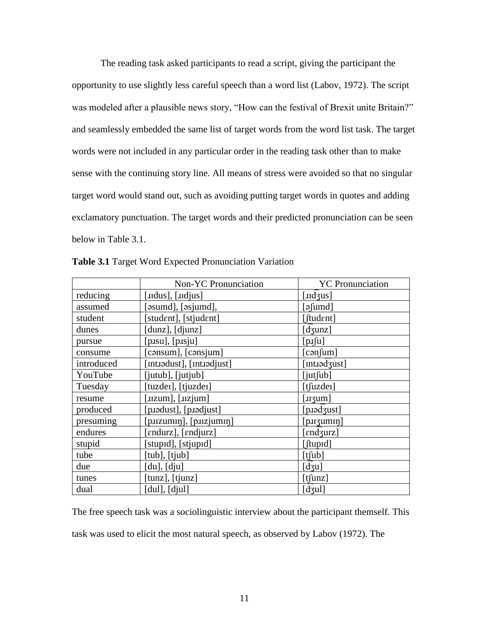The reading task asked participants to read a script, giving the participant the opportunity to use slightly less careful speech than a word list (Labov, 1972). The script was modeled after a plausible news story, "How can the festival of Brexit unite Britain?" and seamlessly embedded the same list of target words from the word list task. The target words were not included in any particular order in the reading task other than to make sense with the continuing story line. All means of stress were avoided so that no singular target word would stand out, such as avoiding putting target words in quotes and adding exclamatory punctuation. The target words and their predicted pronunciation can be seen below in Table 3.1.

|            | Non-YC Pronunciation      | <b>YC</b> Pronunciation              |  |
|------------|---------------------------|--------------------------------------|--|
| reducing   | [ $ldus$ ], $[undius]$ ]  | $[$ IId $\overline{3}$ us]           |  |
| assumed    | [əsumd], [əsjumd],        | $[$ əfumd $]$                        |  |
| student    | [student], [stjudent]     | [ftudent]                            |  |
| dunes      | [dunz], [djunz]           | $[d\text{sum}]$                      |  |
| pursue     | [p.su], [p.sju]           | $[p_1[u]$                            |  |
| consume    | [cansum], [cansjum]       | $[{\rm con}$ fum]                    |  |
| introduced | [intiədust], [intiədjust] | [Intrad zust]                        |  |
| YouTube    | [jutub], [jutjub]         | $[$ jut $[$ ub $]$                   |  |
| Tuesday    | [tuzder], [tjuzder]       | $[t$ fuzde $t]$                      |  |
| resume     | [uzum], [uzjum]           | $[\text{sqrt}$                       |  |
| produced   | [p.1adust], [p.1adjust]   | [p.iod3ust]                          |  |
| presuming  | [p.uzumin], [p.uzjumin]   | [p <sub>II</sub> zum <sub>II</sub> ] |  |
| endures    | [endurz], [endjurz]       | [endʒurz]                            |  |
| stupid     | [stupɪd], [stjupɪd]       | [ftupid]                             |  |
| tube       | [tub], [tjub]             | $[t]$ [t]                            |  |
| due        | $[du]$ , $[dju]$          | $[d_3u]$                             |  |
| tunes      | [tunz], [tjunz]           | $[t]$ unz]                           |  |
| dual       | $[du]$ , $[dju]$          | $[d_3ul]$                            |  |

**Table 3.1** Target Word Expected Pronunciation Variation

The free speech task was a sociolinguistic interview about the participant themself. This task was used to elicit the most natural speech, as observed by Labov (1972). The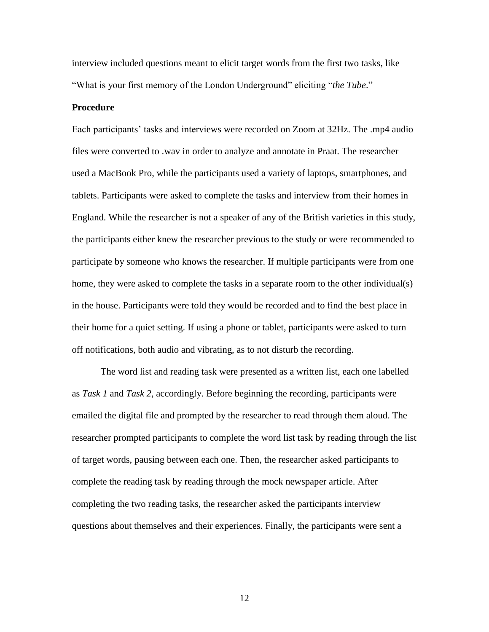interview included questions meant to elicit target words from the first two tasks, like "What is your first memory of the London Underground" eliciting "*the Tube*."

#### **Procedure**

Each participants' tasks and interviews were recorded on Zoom at 32Hz. The .mp4 audio files were converted to .wav in order to analyze and annotate in Praat. The researcher used a MacBook Pro, while the participants used a variety of laptops, smartphones, and tablets. Participants were asked to complete the tasks and interview from their homes in England. While the researcher is not a speaker of any of the British varieties in this study, the participants either knew the researcher previous to the study or were recommended to participate by someone who knows the researcher. If multiple participants were from one home, they were asked to complete the tasks in a separate room to the other individual(s) in the house. Participants were told they would be recorded and to find the best place in their home for a quiet setting. If using a phone or tablet, participants were asked to turn off notifications, both audio and vibrating, as to not disturb the recording.

The word list and reading task were presented as a written list, each one labelled as *Task 1* and *Task 2*, accordingly. Before beginning the recording, participants were emailed the digital file and prompted by the researcher to read through them aloud. The researcher prompted participants to complete the word list task by reading through the list of target words, pausing between each one. Then, the researcher asked participants to complete the reading task by reading through the mock newspaper article. After completing the two reading tasks, the researcher asked the participants interview questions about themselves and their experiences. Finally, the participants were sent a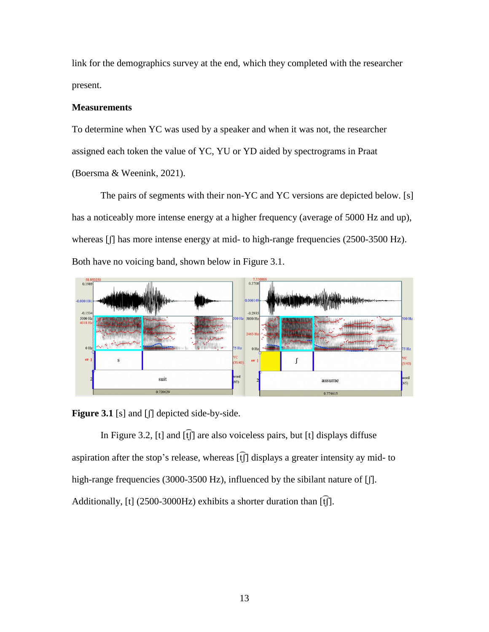link for the demographics survey at the end, which they completed with the researcher present.

### **Measurements**

To determine when YC was used by a speaker and when it was not, the researcher assigned each token the value of YC, YU or YD aided by spectrograms in Praat (Boersma & Weenink, 2021).

The pairs of segments with their non-YC and YC versions are depicted below. [s] has a noticeably more intense energy at a higher frequency (average of 5000 Hz and up), whereas [f] has more intense energy at mid- to high-range frequencies (2500-3500 Hz). Both have no voicing band, shown below in Figure 3.1.



Figure 3.1 [s] and [f] depicted side-by-side.

In Figure 3.2, [t] and  $\widehat{f}(\widehat{f})$  are also voiceless pairs, but [t] displays diffuse aspiration after the stop's release, whereas  $\widehat{f}$  displays a greater intensity ay mid- to high-range frequencies (3000-3500 Hz), influenced by the sibilant nature of [ $\parallel$ ]. Additionally, [t] (2500-3000Hz) exhibits a shorter duration than  $\widehat{f}$ [f].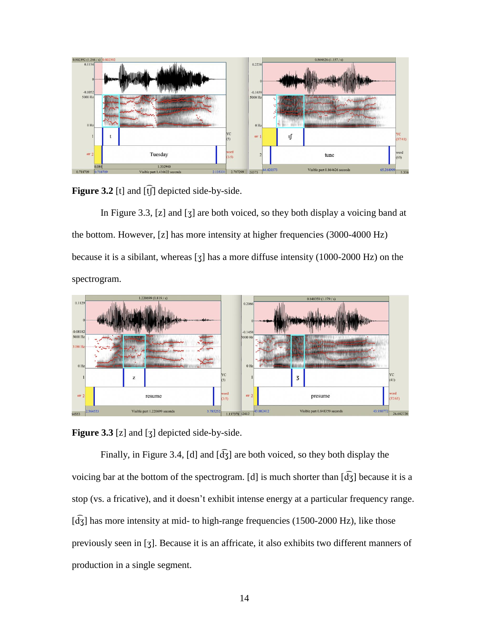

Figure 3.2 [t] and [t͡ʃ] depicted side-by-side.

In Figure 3.3, [z] and [ʒ] are both voiced, so they both display a voicing band at the bottom. However, [z] has more intensity at higher frequencies (3000-4000 Hz) because it is a sibilant, whereas [ʒ] has a more diffuse intensity (1000-2000 Hz) on the spectrogram.



**Figure 3.3** [z] and [ʒ] depicted side-by-side.

Finally, in Figure 3.4, [d] and  $\left[\frac{d}{dS}\right]$  are both voiced, so they both display the voicing bar at the bottom of the spectrogram. [d] is much shorter than  $\bar{d}$ s] because it is a stop (vs. a fricative), and it doesn't exhibit intense energy at a particular frequency range.  $\left[\overline{d_3}\right]$  has more intensity at mid- to high-range frequencies (1500-2000 Hz), like those previously seen in [ʒ]. Because it is an affricate, it also exhibits two different manners of production in a single segment.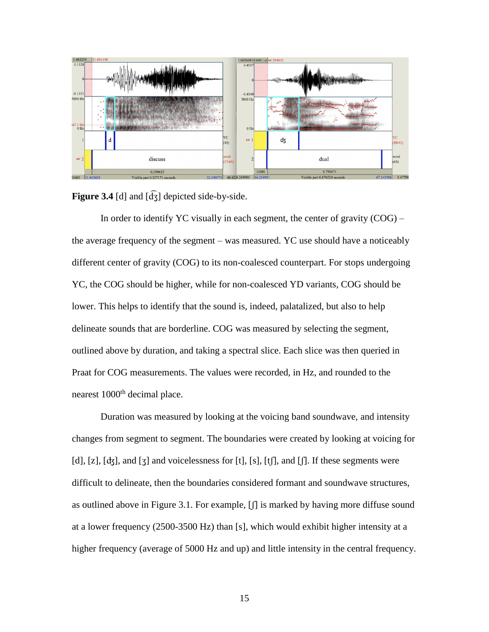

**Figure 3.4** [d] and [d͡ʒ] depicted side-by-side.

In order to identify YC visually in each segment, the center of gravity  $(COG)$  – the average frequency of the segment – was measured. YC use should have a noticeably different center of gravity (COG) to its non-coalesced counterpart. For stops undergoing YC, the COG should be higher, while for non-coalesced YD variants, COG should be lower. This helps to identify that the sound is, indeed, palatalized, but also to help delineate sounds that are borderline. COG was measured by selecting the segment, outlined above by duration, and taking a spectral slice. Each slice was then queried in Praat for COG measurements. The values were recorded, in Hz, and rounded to the nearest 1000<sup>th</sup> decimal place.

Duration was measured by looking at the voicing band soundwave, and intensity changes from segment to segment. The boundaries were created by looking at voicing for [d], [z], [dʒ], and [ʒ] and voicelessness for [t], [s], [tʃ], and [f]. If these segments were difficult to delineate, then the boundaries considered formant and soundwave structures, as outlined above in Figure 3.1. For example, [ʃ] is marked by having more diffuse sound at a lower frequency (2500-3500 Hz) than [s], which would exhibit higher intensity at a higher frequency (average of 5000 Hz and up) and little intensity in the central frequency.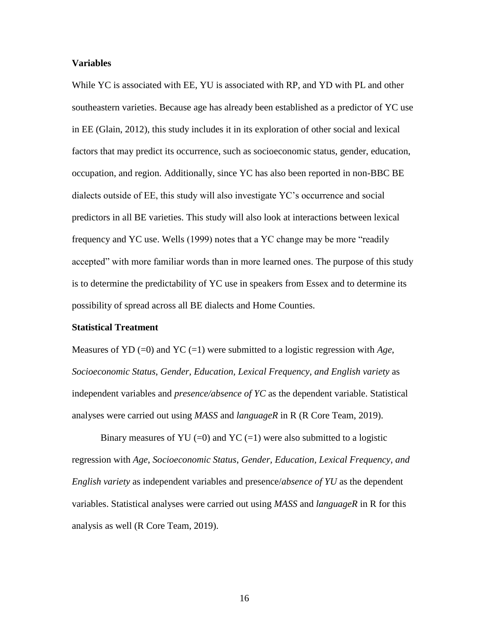#### **Variables**

While YC is associated with EE, YU is associated with RP, and YD with PL and other southeastern varieties. Because age has already been established as a predictor of YC use in EE (Glain, 2012), this study includes it in its exploration of other social and lexical factors that may predict its occurrence, such as socioeconomic status, gender, education, occupation, and region. Additionally, since YC has also been reported in non-BBC BE dialects outside of EE, this study will also investigate YC's occurrence and social predictors in all BE varieties. This study will also look at interactions between lexical frequency and YC use. Wells (1999) notes that a YC change may be more "readily accepted" with more familiar words than in more learned ones. The purpose of this study is to determine the predictability of YC use in speakers from Essex and to determine its possibility of spread across all BE dialects and Home Counties.

#### **Statistical Treatment**

Measures of YD (=0) and YC (=1) were submitted to a logistic regression with  $Age$ , *Socioeconomic Status*, *Gender, Education, Lexical Frequency, and English variety* as independent variables and *presence/absence of YC* as the dependent variable. Statistical analyses were carried out using *MASS* and *languageR* in R (R Core Team, 2019).

Binary measures of YU (=0) and YC (=1) were also submitted to a logistic regression with *Age*, *Socioeconomic Status*, *Gender, Education, Lexical Frequency, and English variety* as independent variables and presence/*absence of YU* as the dependent variables. Statistical analyses were carried out using *MASS* and *languageR* in R for this analysis as well (R Core Team, 2019).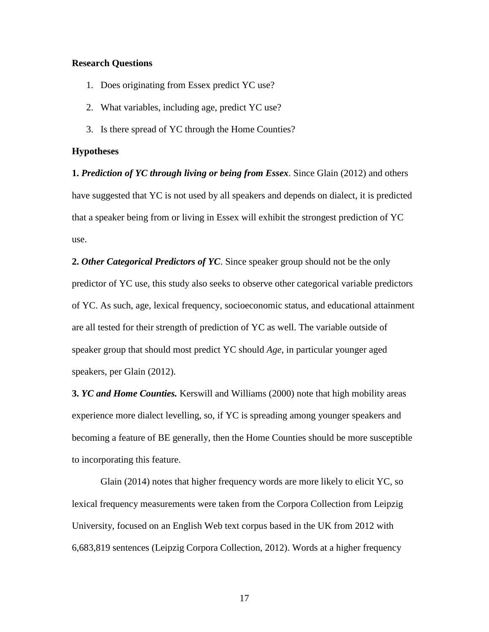#### **Research Questions**

- 1. Does originating from Essex predict YC use?
- 2. What variables, including age, predict YC use?
- 3. Is there spread of YC through the Home Counties?

#### **Hypotheses**

**1.** *Prediction of YC through living or being from Essex*. Since Glain (2012) and others have suggested that YC is not used by all speakers and depends on dialect, it is predicted that a speaker being from or living in Essex will exhibit the strongest prediction of YC use.

**2.** *Other Categorical Predictors of YC*. Since speaker group should not be the only predictor of YC use, this study also seeks to observe other categorical variable predictors of YC. As such, age, lexical frequency, socioeconomic status, and educational attainment are all tested for their strength of prediction of YC as well. The variable outside of speaker group that should most predict YC should *Age*, in particular younger aged speakers, per Glain (2012).

**3.** *YC and Home Counties.* Kerswill and Williams (2000) note that high mobility areas experience more dialect levelling, so, if YC is spreading among younger speakers and becoming a feature of BE generally, then the Home Counties should be more susceptible to incorporating this feature.

Glain (2014) notes that higher frequency words are more likely to elicit YC, so lexical frequency measurements were taken from the Corpora Collection from Leipzig University, focused on an English Web text corpus based in the UK from 2012 with 6,683,819 sentences (Leipzig Corpora Collection, 2012). Words at a higher frequency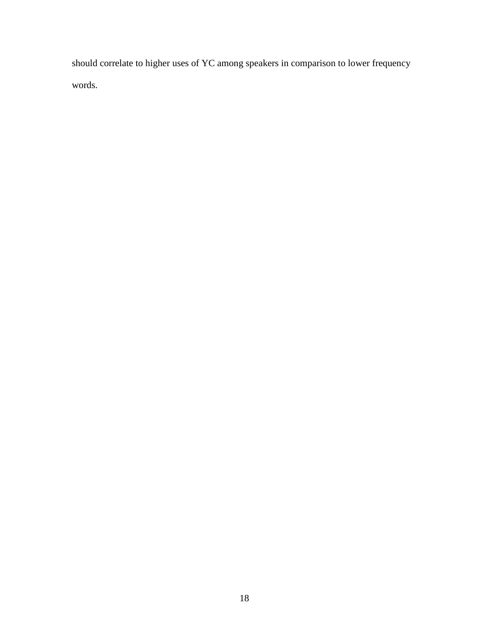should correlate to higher uses of YC among speakers in comparison to lower frequency words.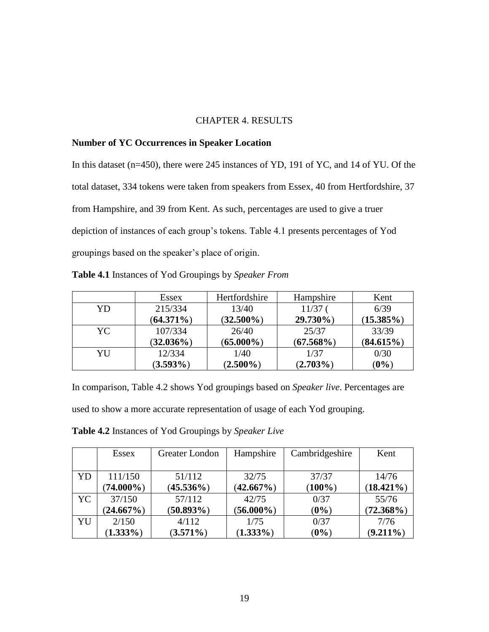### CHAPTER 4. RESULTS

### **Number of YC Occurrences in Speaker Location**

In this dataset (n=450), there were 245 instances of YD, 191 of YC, and 14 of YU. Of the total dataset, 334 tokens were taken from speakers from Essex, 40 from Hertfordshire, 37 from Hampshire, and 39 from Kent. As such, percentages are used to give a truer depiction of instances of each group's tokens. Table 4.1 presents percentages of Yod groupings based on the speaker's place of origin.

|     | Essex        | Hertfordshire | Hampshire    | Kent         |
|-----|--------------|---------------|--------------|--------------|
| YD  | 215/334      | 13/40         | $11/37$ (    | 6/39         |
|     | $(64.371\%)$ | $(32.500\%)$  | 29.730%)     | $(15.385\%)$ |
| YC. | 107/334      | 26/40         | 25/37        | 33/39        |
|     | $(32.036\%)$ | $(65.000\%)$  | $(67.568\%)$ | (84.615%)    |
| YU  | 12/334       | 1/40          | 1/37         | 0/30         |
|     | $(3.593\%)$  | $(2.500\%)$   | $(2.703\%)$  | $(0\%)$      |

In comparison, Table 4.2 shows Yod groupings based on *Speaker live*. Percentages are used to show a more accurate representation of usage of each Yod grouping.

**Table 4.2** Instances of Yod Groupings by *Speaker Live*

|     | Essex        | Greater London | Hampshire    | Cambridgeshire | Kent         |
|-----|--------------|----------------|--------------|----------------|--------------|
|     |              |                |              |                |              |
| YD  | 111/150      | 51/112         | 32/75        | 37/37          | 14/76        |
|     | $(74.000\%)$ | $(45.536\%)$   | $(42.667\%)$ | $(100\%)$      | $(18.421\%)$ |
| YC. | 37/150       | 57/112         | 42/75        | 0/37           | 55/76        |
|     | $(24.667\%)$ | $(50.893\%)$   | $(56.000\%)$ | $(0\%)$        | $(72.368\%)$ |
| YU  | 2/150        | 4/112          | 1/75         | 0/37           | 7/76         |
|     | $(1.333\%)$  | $(3.571\%)$    | $(1.333\%)$  | $(0\%)$        | $(9.211\%)$  |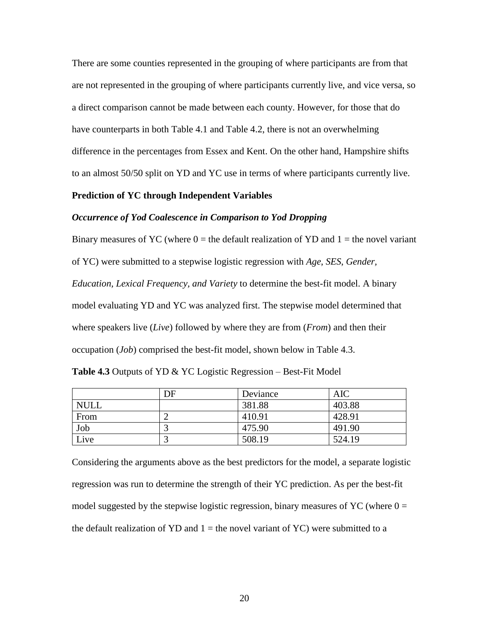There are some counties represented in the grouping of where participants are from that are not represented in the grouping of where participants currently live, and vice versa, so a direct comparison cannot be made between each county. However, for those that do have counterparts in both Table 4.1 and Table 4.2, there is not an overwhelming difference in the percentages from Essex and Kent. On the other hand, Hampshire shifts to an almost 50/50 split on YD and YC use in terms of where participants currently live.

#### **Prediction of YC through Independent Variables**

#### *Occurrence of Yod Coalescence in Comparison to Yod Dropping*

Binary measures of YC (where  $0 =$  the default realization of YD and  $1 =$  the novel variant of YC) were submitted to a stepwise logistic regression with *Age*, *SES*, *Gender, Education, Lexical Frequency, and Variety* to determine the best-fit model. A binary model evaluating YD and YC was analyzed first. The stepwise model determined that where speakers live (*Live*) followed by where they are from (*From*) and then their occupation (*Job*) comprised the best-fit model, shown below in Table 4.3.

|  |  | <b>Table 4.3</b> Outputs of YD & YC Logistic Regression – Best-Fit Model |  |
|--|--|--------------------------------------------------------------------------|--|
|  |  |                                                                          |  |

|             | DF | Deviance | AIC    |
|-------------|----|----------|--------|
| <b>NULL</b> |    | 381.88   | 403.88 |
| From        |    | 410.91   | 428.91 |
| Job         |    | 475.90   | 491.90 |
| Live        |    | 508.19   | 524.19 |

Considering the arguments above as the best predictors for the model, a separate logistic regression was run to determine the strength of their YC prediction. As per the best-fit model suggested by the stepwise logistic regression, binary measures of YC (where  $0 =$ the default realization of YD and  $1 =$  the novel variant of YC) were submitted to a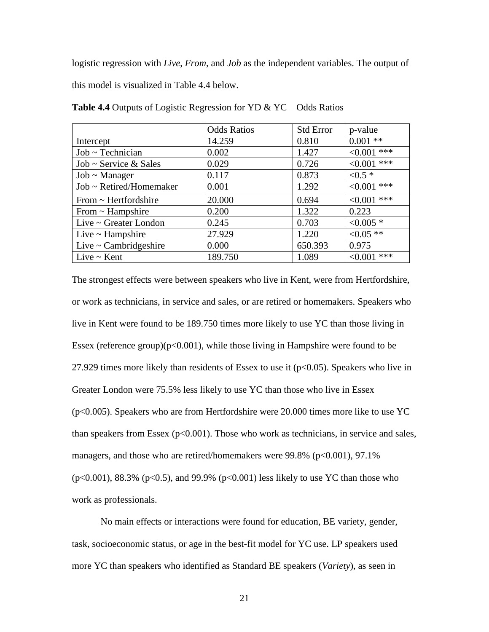logistic regression with *Live*, *From*, and *Job* as the independent variables. The output of this model is visualized in Table 4.4 below.

|                            | <b>Odds Ratios</b> | <b>Std Error</b> | p-value        |
|----------------------------|--------------------|------------------|----------------|
| Intercept                  | 14.259             | 0.810            | $0.001**$      |
| $Job$ ~ Technician         | 0.002              | 1.427            | $< 0.001$ ***  |
| Job ~ Service & Sales      | 0.029              | 0.726            | $< 0.001$ ***  |
| $Job$ ~ Manager            | 0.117              | 0.873            | $< 0.5 *$      |
| Job ~ Retired/Homemaker    | 0.001              | 1.292            | $< 0.001$ ***  |
| From $\sim$ Hertfordshire  | 20.000             | 0.694            | $< 0.001$ ***  |
| From $\sim$ Hampshire      | 0.200              | 1.322            | 0.223          |
| Live $\sim$ Greater London | 0.245              | 0.703            | $< 0.005$ *    |
| Live $\sim$ Hampshire      | 27.929             | 1.220            | $< 0.05$ **    |
| Live $\sim$ Cambridgeshire | 0.000              | 650.393          | 0.975          |
| Live $\sim$ Kent           | 189.750            | 1.089            | ***<br>< 0.001 |

**Table 4.4** Outputs of Logistic Regression for YD & YC – Odds Ratios

The strongest effects were between speakers who live in Kent, were from Hertfordshire, or work as technicians, in service and sales, or are retired or homemakers. Speakers who live in Kent were found to be 189.750 times more likely to use YC than those living in Essex (reference group) $(p<0.001)$ , while those living in Hampshire were found to be 27.929 times more likely than residents of Essex to use it  $(p<0.05)$ . Speakers who live in Greater London were 75.5% less likely to use YC than those who live in Essex (p<0.005). Speakers who are from Hertfordshire were 20.000 times more like to use YC than speakers from Essex ( $p<0.001$ ). Those who work as technicians, in service and sales, managers, and those who are retired/homemakers were 99.8% (p<0.001), 97.1% (p<0.001), 88.3% (p<0.5), and 99.9% (p<0.001) less likely to use YC than those who work as professionals.

No main effects or interactions were found for education, BE variety, gender, task, socioeconomic status, or age in the best-fit model for YC use. LP speakers used more YC than speakers who identified as Standard BE speakers (*Variety*), as seen in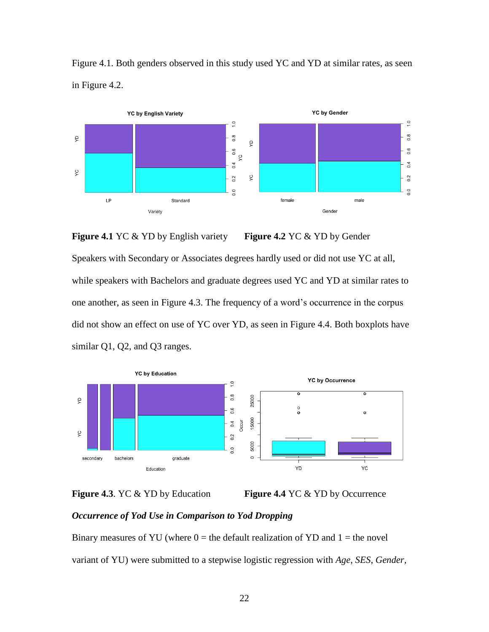

Figure 4.1. Both genders observed in this study used YC and YD at similar rates, as seen in Figure 4.2.

**Figure 4.1** YC & YD by English variety **Figure 4.2** YC & YD by Gender Speakers with Secondary or Associates degrees hardly used or did not use YC at all, while speakers with Bachelors and graduate degrees used YC and YD at similar rates to one another, as seen in Figure 4.3. The frequency of a word's occurrence in the corpus did not show an effect on use of YC over YD, as seen in Figure 4.4. Both boxplots have similar Q1, Q2, and Q3 ranges.





### *Occurrence of Yod Use in Comparison to Yod Dropping*

Binary measures of YU (where  $0 =$  the default realization of YD and  $1 =$  the novel variant of YU) were submitted to a stepwise logistic regression with *Age*, *SES*, *Gender,*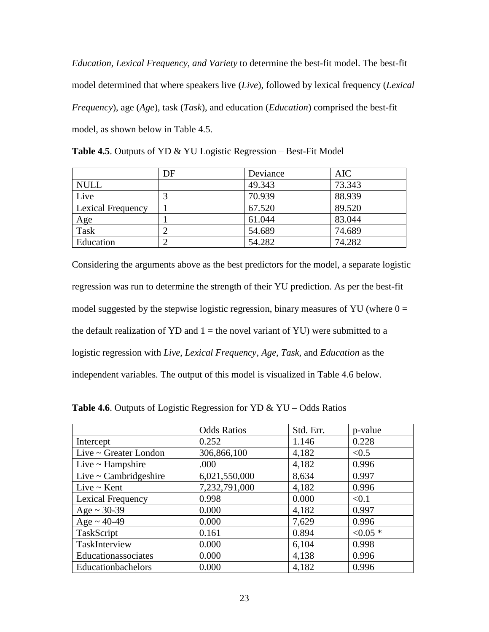*Education, Lexical Frequency, and Variety* to determine the best-fit model. The best-fit model determined that where speakers live (*Live*), followed by lexical frequency (*Lexical Frequency*), age (*Age*), task (*Task*), and education (*Education*) comprised the best-fit model, as shown below in Table 4.5.

|  | <b>Table 4.5.</b> Outputs of YD & YU Logistic Regression – Best-Fit Model |
|--|---------------------------------------------------------------------------|
|--|---------------------------------------------------------------------------|

|                   | DF | Deviance | <b>AIC</b> |
|-------------------|----|----------|------------|
| <b>NULL</b>       |    | 49.343   | 73.343     |
| Live              |    | 70.939   | 88.939     |
| Lexical Frequency |    | 67.520   | 89.520     |
| Age               |    | 61.044   | 83.044     |
| Task              |    | 54.689   | 74.689     |
| Education         |    | 54.282   | 74.282     |

Considering the arguments above as the best predictors for the model, a separate logistic regression was run to determine the strength of their YU prediction. As per the best-fit model suggested by the stepwise logistic regression, binary measures of YU (where  $0 =$ the default realization of YD and  $1 =$  the novel variant of YU) were submitted to a logistic regression with *Live*, *Lexical Frequency*, *Age*, *Task*, and *Education* as the independent variables. The output of this model is visualized in Table 4.6 below.

|                            | <b>Odds Ratios</b> | Std. Err. | p-value   |
|----------------------------|--------------------|-----------|-----------|
| Intercept                  | 0.252              | 1.146     | 0.228     |
| Live ~ Greater London      | 306,866,100        | 4,182     | < 0.5     |
| Live $\sim$ Hampshire      | .000               | 4,182     | 0.996     |
| Live $\sim$ Cambridgeshire | 6,021,550,000      | 8,634     | 0.997     |
| Live $\sim$ Kent           | 7,232,791,000      | 4,182     | 0.996     |
| Lexical Frequency          | 0.998              | 0.000     | < 0.1     |
| $Age \sim 30-39$           | 0.000              | 4,182     | 0.997     |
| $Age \sim 40-49$           | 0.000              | 7,629     | 0.996     |
| TaskScript                 | 0.161              | 0.894     | $< 0.05*$ |
| TaskInterview              | 0.000              | 6,104     | 0.998     |
| Educationassociates        | 0.000              | 4,138     | 0.996     |
| Educationbachelors         | 0.000              | 4,182     | 0.996     |

**Table 4.6**. Outputs of Logistic Regression for YD & YU – Odds Ratios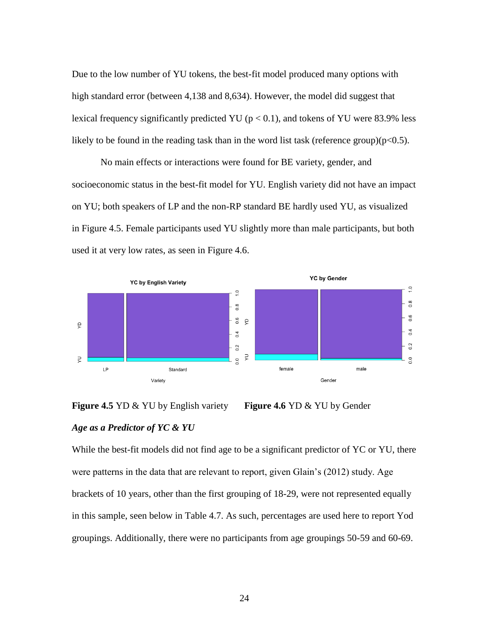Due to the low number of YU tokens, the best-fit model produced many options with high standard error (between 4,138 and 8,634). However, the model did suggest that lexical frequency significantly predicted YU ( $p < 0.1$ ), and tokens of YU were 83.9% less likely to be found in the reading task than in the word list task (reference group) $(p<0.5)$ .

No main effects or interactions were found for BE variety, gender, and socioeconomic status in the best-fit model for YU. English variety did not have an impact on YU; both speakers of LP and the non-RP standard BE hardly used YU, as visualized in Figure 4.5. Female participants used YU slightly more than male participants, but both used it at very low rates, as seen in Figure 4.6.





While the best-fit models did not find age to be a significant predictor of YC or YU, there were patterns in the data that are relevant to report, given Glain's (2012) study. Age brackets of 10 years, other than the first grouping of 18-29, were not represented equally in this sample, seen below in Table 4.7. As such, percentages are used here to report Yod groupings. Additionally, there were no participants from age groupings 50-59 and 60-69.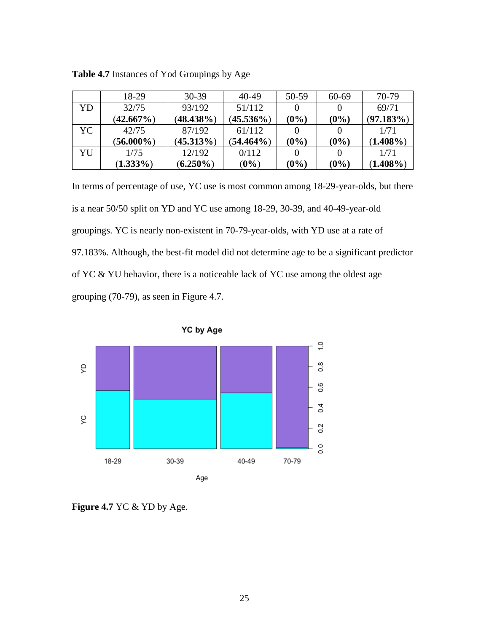|     | 18-29        | $30-39$      | 40-49        | 50-59   | 60-69   | 70-79       |
|-----|--------------|--------------|--------------|---------|---------|-------------|
| YD  | 32/75        | 93/192       | 51/112       |         |         | 69/71       |
|     | $(42.667\%)$ | $(48.438\%)$ | $(45.536\%)$ | $(0\%)$ | $(0\%)$ | (97.183%)   |
| YC. | 42/75        | 87/192       | 61/112       |         |         | 1/71        |
|     | $(56.000\%)$ | $(45.313\%)$ | $(54.464\%)$ | $(0\%)$ | $(0\%)$ | $(1.408\%)$ |
| YU  | 1/75         | 12/192       | 0/112        |         |         | 1/71        |
|     | $(1.333\%)$  | $(6.250\%)$  | $(0\%)$      | $(0\%)$ | $(0\%)$ | $(1.408\%)$ |

**Table 4.7** Instances of Yod Groupings by Age

In terms of percentage of use, YC use is most common among 18-29-year-olds, but there is a near 50/50 split on YD and YC use among 18-29, 30-39, and 40-49-year-old groupings. YC is nearly non-existent in 70-79-year-olds, with YD use at a rate of 97.183%. Although, the best-fit model did not determine age to be a significant predictor of YC & YU behavior, there is a noticeable lack of YC use among the oldest age grouping (70-79), as seen in Figure 4.7.





**Figure 4.7** YC & YD by Age.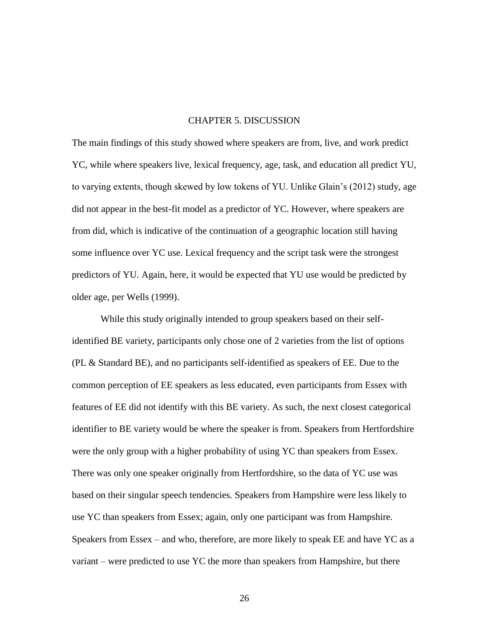#### CHAPTER 5. DISCUSSION

The main findings of this study showed where speakers are from, live, and work predict YC, while where speakers live, lexical frequency, age, task, and education all predict YU, to varying extents, though skewed by low tokens of YU. Unlike Glain's (2012) study, age did not appear in the best-fit model as a predictor of YC. However, where speakers are from did, which is indicative of the continuation of a geographic location still having some influence over YC use. Lexical frequency and the script task were the strongest predictors of YU. Again, here, it would be expected that YU use would be predicted by older age, per Wells (1999).

While this study originally intended to group speakers based on their selfidentified BE variety, participants only chose one of 2 varieties from the list of options (PL & Standard BE), and no participants self-identified as speakers of EE. Due to the common perception of EE speakers as less educated, even participants from Essex with features of EE did not identify with this BE variety. As such, the next closest categorical identifier to BE variety would be where the speaker is from. Speakers from Hertfordshire were the only group with a higher probability of using YC than speakers from Essex. There was only one speaker originally from Hertfordshire, so the data of YC use was based on their singular speech tendencies. Speakers from Hampshire were less likely to use YC than speakers from Essex; again, only one participant was from Hampshire. Speakers from Essex – and who, therefore, are more likely to speak EE and have YC as a variant – were predicted to use YC the more than speakers from Hampshire, but there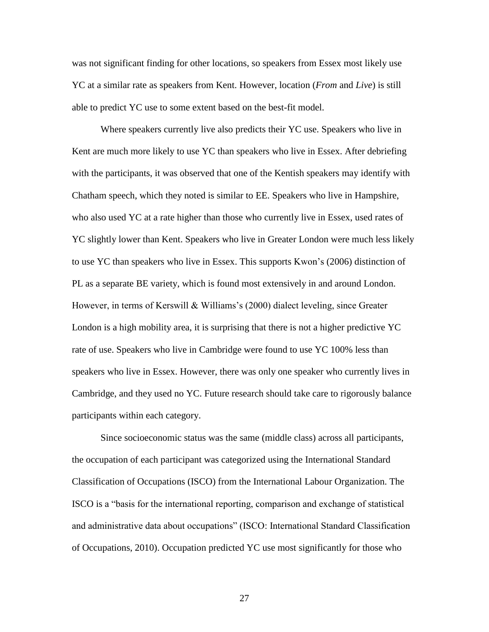was not significant finding for other locations, so speakers from Essex most likely use YC at a similar rate as speakers from Kent. However, location (*From* and *Live*) is still able to predict YC use to some extent based on the best-fit model.

Where speakers currently live also predicts their YC use. Speakers who live in Kent are much more likely to use YC than speakers who live in Essex. After debriefing with the participants, it was observed that one of the Kentish speakers may identify with Chatham speech, which they noted is similar to EE. Speakers who live in Hampshire, who also used YC at a rate higher than those who currently live in Essex, used rates of YC slightly lower than Kent. Speakers who live in Greater London were much less likely to use YC than speakers who live in Essex. This supports Kwon's (2006) distinction of PL as a separate BE variety, which is found most extensively in and around London. However, in terms of Kerswill & Williams's (2000) dialect leveling, since Greater London is a high mobility area, it is surprising that there is not a higher predictive YC rate of use. Speakers who live in Cambridge were found to use YC 100% less than speakers who live in Essex. However, there was only one speaker who currently lives in Cambridge, and they used no YC. Future research should take care to rigorously balance participants within each category.

Since socioeconomic status was the same (middle class) across all participants, the occupation of each participant was categorized using the International Standard Classification of Occupations (ISCO) from the International Labour Organization. The ISCO is a "basis for the international reporting, comparison and exchange of statistical and administrative data about occupations" (ISCO: International Standard Classification of Occupations, 2010). Occupation predicted YC use most significantly for those who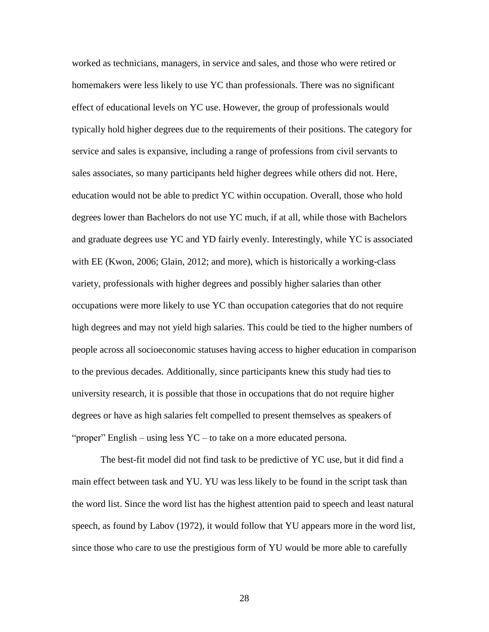worked as technicians, managers, in service and sales, and those who were retired or homemakers were less likely to use YC than professionals. There was no significant effect of educational levels on YC use. However, the group of professionals would typically hold higher degrees due to the requirements of their positions. The category for service and sales is expansive, including a range of professions from civil servants to sales associates, so many participants held higher degrees while others did not. Here, education would not be able to predict YC within occupation. Overall, those who hold degrees lower than Bachelors do not use YC much, if at all, while those with Bachelors and graduate degrees use YC and YD fairly evenly. Interestingly, while YC is associated with EE (Kwon, 2006; Glain, 2012; and more), which is historically a working-class variety, professionals with higher degrees and possibly higher salaries than other occupations were more likely to use YC than occupation categories that do not require high degrees and may not yield high salaries. This could be tied to the higher numbers of people across all socioeconomic statuses having access to higher education in comparison to the previous decades. Additionally, since participants knew this study had ties to university research, it is possible that those in occupations that do not require higher degrees or have as high salaries felt compelled to present themselves as speakers of "proper" English – using less YC – to take on a more educated persona.

The best-fit model did not find task to be predictive of YC use, but it did find a main effect between task and YU. YU was less likely to be found in the script task than the word list. Since the word list has the highest attention paid to speech and least natural speech, as found by Labov (1972), it would follow that YU appears more in the word list, since those who care to use the prestigious form of YU would be more able to carefully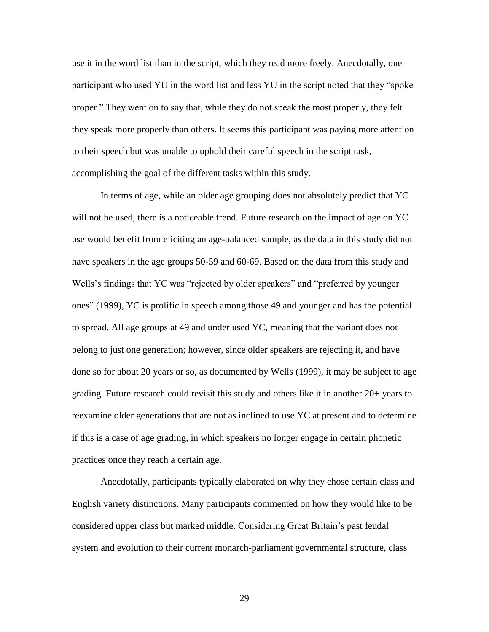use it in the word list than in the script, which they read more freely. Anecdotally, one participant who used YU in the word list and less YU in the script noted that they "spoke proper." They went on to say that, while they do not speak the most properly, they felt they speak more properly than others. It seems this participant was paying more attention to their speech but was unable to uphold their careful speech in the script task, accomplishing the goal of the different tasks within this study.

In terms of age, while an older age grouping does not absolutely predict that YC will not be used, there is a noticeable trend. Future research on the impact of age on YC use would benefit from eliciting an age-balanced sample, as the data in this study did not have speakers in the age groups 50-59 and 60-69. Based on the data from this study and Wells's findings that YC was "rejected by older speakers" and "preferred by younger ones" (1999), YC is prolific in speech among those 49 and younger and has the potential to spread. All age groups at 49 and under used YC, meaning that the variant does not belong to just one generation; however, since older speakers are rejecting it, and have done so for about 20 years or so, as documented by Wells (1999), it may be subject to age grading. Future research could revisit this study and others like it in another 20+ years to reexamine older generations that are not as inclined to use YC at present and to determine if this is a case of age grading, in which speakers no longer engage in certain phonetic practices once they reach a certain age.

Anecdotally, participants typically elaborated on why they chose certain class and English variety distinctions. Many participants commented on how they would like to be considered upper class but marked middle. Considering Great Britain's past feudal system and evolution to their current monarch-parliament governmental structure, class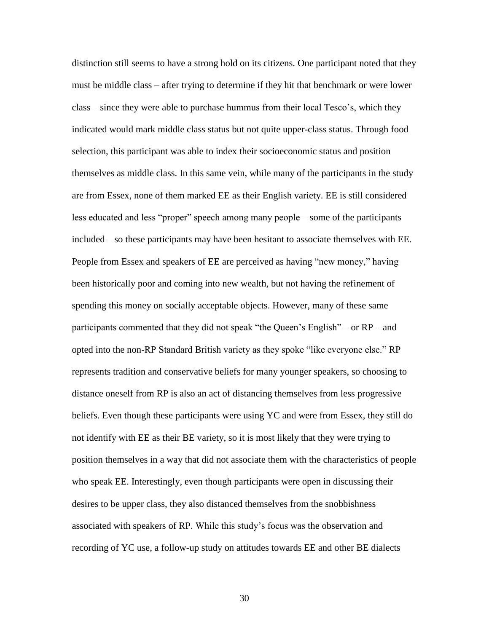distinction still seems to have a strong hold on its citizens. One participant noted that they must be middle class – after trying to determine if they hit that benchmark or were lower class – since they were able to purchase hummus from their local Tesco's, which they indicated would mark middle class status but not quite upper-class status. Through food selection, this participant was able to index their socioeconomic status and position themselves as middle class. In this same vein, while many of the participants in the study are from Essex, none of them marked EE as their English variety. EE is still considered less educated and less "proper" speech among many people – some of the participants included – so these participants may have been hesitant to associate themselves with EE. People from Essex and speakers of EE are perceived as having "new money," having been historically poor and coming into new wealth, but not having the refinement of spending this money on socially acceptable objects. However, many of these same participants commented that they did not speak "the Queen's English" – or RP – and opted into the non-RP Standard British variety as they spoke "like everyone else." RP represents tradition and conservative beliefs for many younger speakers, so choosing to distance oneself from RP is also an act of distancing themselves from less progressive beliefs. Even though these participants were using YC and were from Essex, they still do not identify with EE as their BE variety, so it is most likely that they were trying to position themselves in a way that did not associate them with the characteristics of people who speak EE. Interestingly, even though participants were open in discussing their desires to be upper class, they also distanced themselves from the snobbishness associated with speakers of RP. While this study's focus was the observation and recording of YC use, a follow-up study on attitudes towards EE and other BE dialects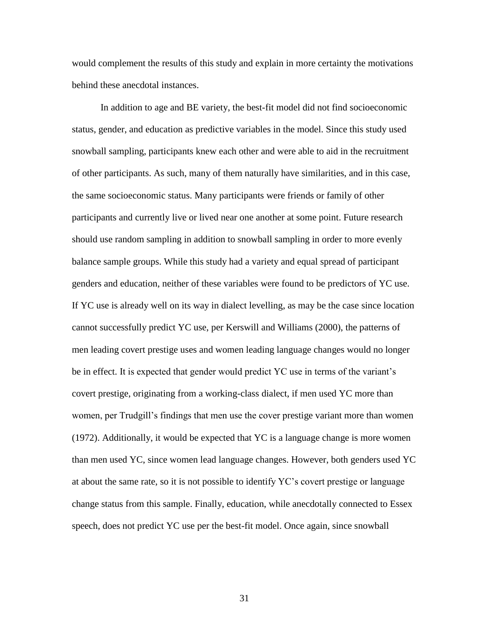would complement the results of this study and explain in more certainty the motivations behind these anecdotal instances.

In addition to age and BE variety, the best-fit model did not find socioeconomic status, gender, and education as predictive variables in the model. Since this study used snowball sampling, participants knew each other and were able to aid in the recruitment of other participants. As such, many of them naturally have similarities, and in this case, the same socioeconomic status. Many participants were friends or family of other participants and currently live or lived near one another at some point. Future research should use random sampling in addition to snowball sampling in order to more evenly balance sample groups. While this study had a variety and equal spread of participant genders and education, neither of these variables were found to be predictors of YC use. If YC use is already well on its way in dialect levelling, as may be the case since location cannot successfully predict YC use, per Kerswill and Williams (2000), the patterns of men leading covert prestige uses and women leading language changes would no longer be in effect. It is expected that gender would predict YC use in terms of the variant's covert prestige, originating from a working-class dialect, if men used YC more than women, per Trudgill's findings that men use the cover prestige variant more than women (1972). Additionally, it would be expected that YC is a language change is more women than men used YC, since women lead language changes. However, both genders used YC at about the same rate, so it is not possible to identify YC's covert prestige or language change status from this sample. Finally, education, while anecdotally connected to Essex speech, does not predict YC use per the best-fit model. Once again, since snowball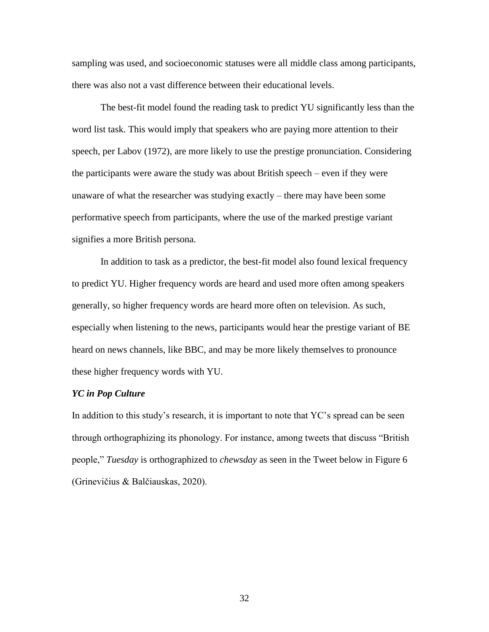sampling was used, and socioeconomic statuses were all middle class among participants, there was also not a vast difference between their educational levels.

The best-fit model found the reading task to predict YU significantly less than the word list task. This would imply that speakers who are paying more attention to their speech, per Labov (1972), are more likely to use the prestige pronunciation. Considering the participants were aware the study was about British speech – even if they were unaware of what the researcher was studying exactly – there may have been some performative speech from participants, where the use of the marked prestige variant signifies a more British persona.

In addition to task as a predictor, the best-fit model also found lexical frequency to predict YU. Higher frequency words are heard and used more often among speakers generally, so higher frequency words are heard more often on television. As such, especially when listening to the news, participants would hear the prestige variant of BE heard on news channels, like BBC, and may be more likely themselves to pronounce these higher frequency words with YU.

#### *YC in Pop Culture*

In addition to this study's research, it is important to note that YC's spread can be seen through orthographizing its phonology. For instance, among tweets that discuss "British people," *Tuesday* is orthographized to *chewsday* as seen in the Tweet below in Figure 6 (Grinevičius & Balčiauskas, 2020).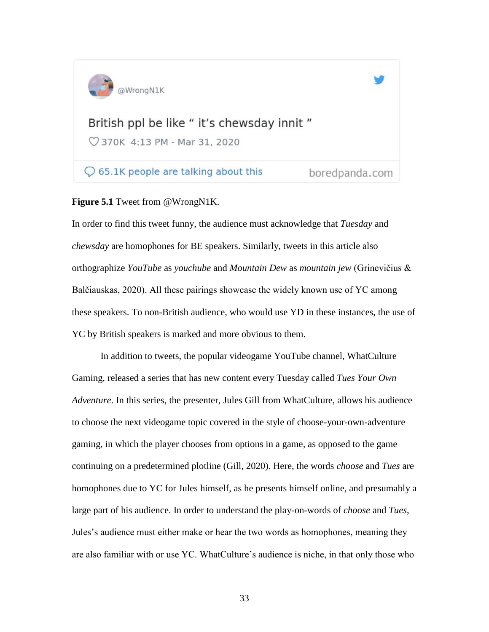

 $\bigcirc$  65.1K people are talking about this

boredpanda.com

## **Figure 5.1** Tweet from @WrongN1K.

In order to find this tweet funny, the audience must acknowledge that *Tuesday* and *chewsday* are homophones for BE speakers. Similarly, tweets in this article also orthographize *YouTube* as *youchube* and *Mountain Dew* as *mountain jew* (Grinevičius & Balčiauskas, 2020). All these pairings showcase the widely known use of YC among these speakers. To non-British audience, who would use YD in these instances, the use of YC by British speakers is marked and more obvious to them.

In addition to tweets, the popular videogame YouTube channel, WhatCulture Gaming, released a series that has new content every Tuesday called *Tues Your Own Adventure*. In this series, the presenter, Jules Gill from WhatCulture, allows his audience to choose the next videogame topic covered in the style of choose-your-own-adventure gaming, in which the player chooses from options in a game, as opposed to the game continuing on a predetermined plotline (Gill, 2020). Here, the words *choose* and *Tues* are homophones due to YC for Jules himself, as he presents himself online, and presumably a large part of his audience. In order to understand the play-on-words of *choose* and *Tues*, Jules's audience must either make or hear the two words as homophones, meaning they are also familiar with or use YC. WhatCulture's audience is niche, in that only those who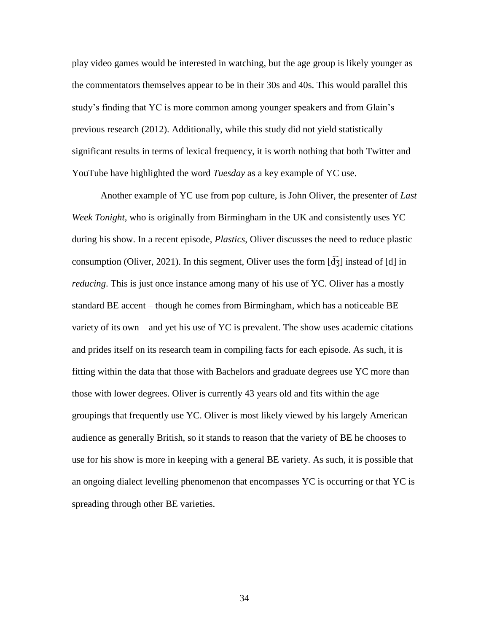play video games would be interested in watching, but the age group is likely younger as the commentators themselves appear to be in their 30s and 40s. This would parallel this study's finding that YC is more common among younger speakers and from Glain's previous research (2012). Additionally, while this study did not yield statistically significant results in terms of lexical frequency, it is worth nothing that both Twitter and YouTube have highlighted the word *Tuesday* as a key example of YC use.

Another example of YC use from pop culture, is John Oliver, the presenter of *Last Week Tonight*, who is originally from Birmingham in the UK and consistently uses YC during his show. In a recent episode, *Plastics*, Oliver discusses the need to reduce plastic consumption (Oliver, 2021). In this segment, Oliver uses the form  $\left[\frac{d}{d}\right]$  instead of [d] in *reducing*. This is just once instance among many of his use of YC. Oliver has a mostly standard BE accent – though he comes from Birmingham, which has a noticeable BE variety of its own – and yet his use of YC is prevalent. The show uses academic citations and prides itself on its research team in compiling facts for each episode. As such, it is fitting within the data that those with Bachelors and graduate degrees use YC more than those with lower degrees. Oliver is currently 43 years old and fits within the age groupings that frequently use YC. Oliver is most likely viewed by his largely American audience as generally British, so it stands to reason that the variety of BE he chooses to use for his show is more in keeping with a general BE variety. As such, it is possible that an ongoing dialect levelling phenomenon that encompasses YC is occurring or that YC is spreading through other BE varieties.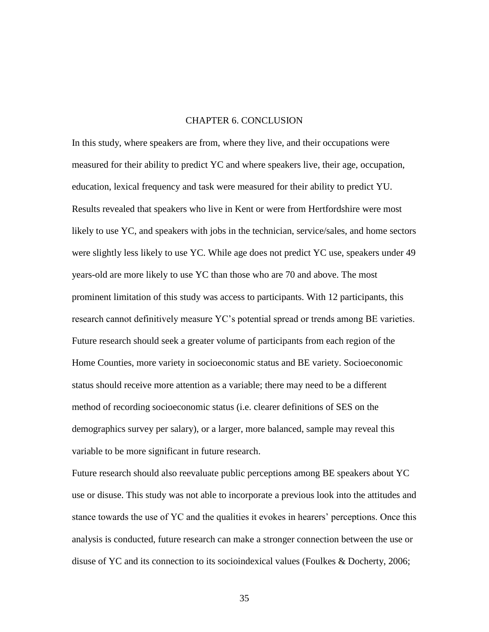#### CHAPTER 6. CONCLUSION

In this study, where speakers are from, where they live, and their occupations were measured for their ability to predict YC and where speakers live, their age, occupation, education, lexical frequency and task were measured for their ability to predict YU. Results revealed that speakers who live in Kent or were from Hertfordshire were most likely to use YC, and speakers with jobs in the technician, service/sales, and home sectors were slightly less likely to use YC. While age does not predict YC use, speakers under 49 years-old are more likely to use YC than those who are 70 and above. The most prominent limitation of this study was access to participants. With 12 participants, this research cannot definitively measure YC's potential spread or trends among BE varieties. Future research should seek a greater volume of participants from each region of the Home Counties, more variety in socioeconomic status and BE variety. Socioeconomic status should receive more attention as a variable; there may need to be a different method of recording socioeconomic status (i.e. clearer definitions of SES on the demographics survey per salary), or a larger, more balanced, sample may reveal this variable to be more significant in future research.

Future research should also reevaluate public perceptions among BE speakers about YC use or disuse. This study was not able to incorporate a previous look into the attitudes and stance towards the use of YC and the qualities it evokes in hearers' perceptions. Once this analysis is conducted, future research can make a stronger connection between the use or disuse of YC and its connection to its socioindexical values (Foulkes & Docherty, 2006;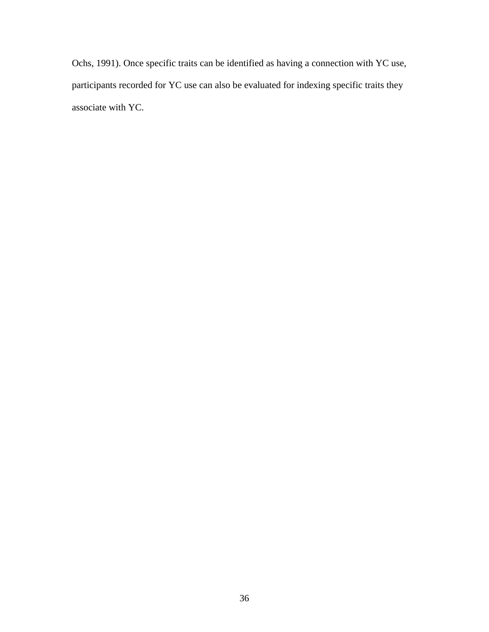Ochs, 1991). Once specific traits can be identified as having a connection with YC use, participants recorded for YC use can also be evaluated for indexing specific traits they associate with YC.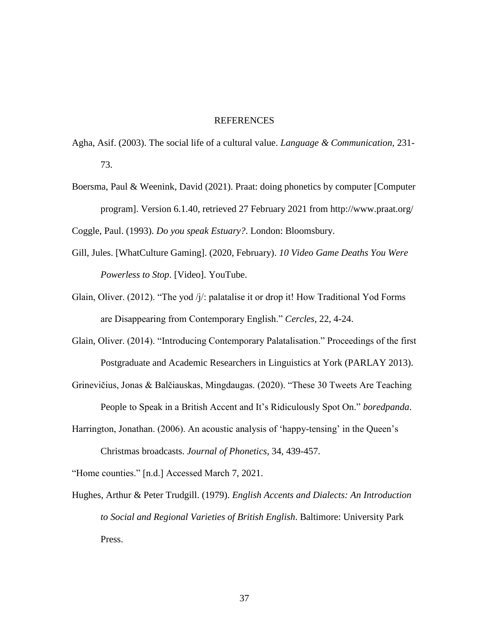#### REFERENCES

- Agha, Asif. (2003). The social life of a cultural value. *Language & Communication,* 231- 73.
- Boersma, Paul & Weenink, David (2021). Praat: doing phonetics by computer [Computer program]. Version 6.1.40, retrieved 27 February 2021 from http://www.praat.org/ Coggle, Paul. (1993). *Do you speak Estuary?*. London: Bloomsbury.
- Gill, Jules. [WhatCulture Gaming]. (2020, February). *10 Video Game Deaths You Were Powerless to Stop*. [Video]. YouTube.
- Glain, Oliver. (2012). "The yod /j/: palatalise it or drop it! How Traditional Yod Forms are Disappearing from Contemporary English." *Cercles*, 22, 4-24.
- Glain, Oliver. (2014). "Introducing Contemporary Palatalisation." Proceedings of the first Postgraduate and Academic Researchers in Linguistics at York (PARLAY 2013).
- Grinevičius, Jonas & Balčiauskas, Mingdaugas. (2020). "These 30 Tweets Are Teaching People to Speak in a British Accent and It's Ridiculously Spot On." *boredpanda*.
- Harrington, Jonathan. (2006). An acoustic analysis of 'happy-tensing' in the Queen's Christmas broadcasts. *Journal of Phonetics*, 34, 439-457.

"Home counties." [n.d.] Accessed March 7, 2021.

Hughes, Arthur & Peter Trudgill. (1979). *English Accents and Dialects: An Introduction to Social and Regional Varieties of British English*. Baltimore: University Park Press.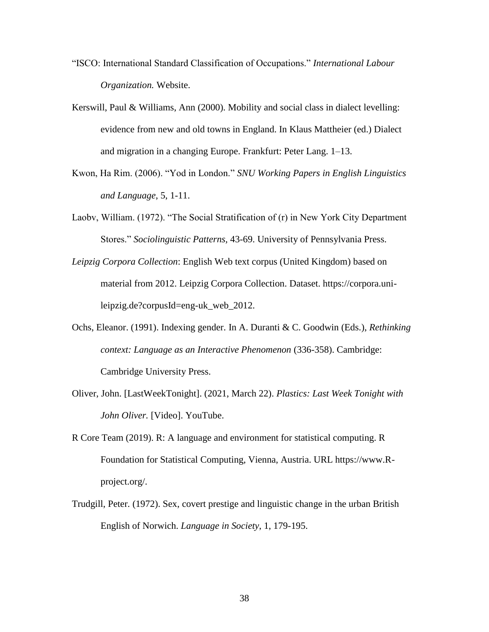- "ISCO: International Standard Classification of Occupations." *International Labour Organization.* Website.
- Kerswill, Paul & Williams, Ann (2000). Mobility and social class in dialect levelling: evidence from new and old towns in England. In Klaus Mattheier (ed.) Dialect and migration in a changing Europe. Frankfurt: Peter Lang. 1–13.
- Kwon, Ha Rim. (2006). "Yod in London." *SNU Working Papers in English Linguistics and Language*, 5, 1-11.
- Laobv, William. (1972). "The Social Stratification of (r) in New York City Department Stores." *Sociolinguistic Patterns,* 43-69. University of Pennsylvania Press.
- *Leipzig Corpora Collection*: English Web text corpus (United Kingdom) based on material from 2012. Leipzig Corpora Collection. Dataset. https://corpora.unileipzig.de?corpusId=eng-uk\_web\_2012.
- Ochs, Eleanor. (1991). Indexing gender. In A. Duranti & C. Goodwin (Eds.), *Rethinking context: Language as an Interactive Phenomenon* (336-358). Cambridge: Cambridge University Press.
- Oliver, John. [LastWeekTonight]. (2021, March 22). *Plastics: Last Week Tonight with John Oliver.* [Video]. YouTube.
- R Core Team (2019). R: A language and environment for statistical computing. R Foundation for Statistical Computing, Vienna, Austria. URL https://www.Rproject.org/.
- Trudgill, Peter. (1972). Sex, covert prestige and linguistic change in the urban British English of Norwich. *Language in Society*, 1, 179-195.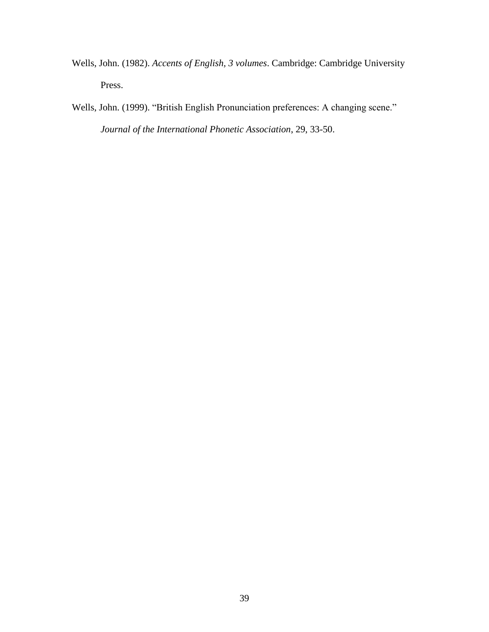- Wells, John. (1982). *Accents of English, 3 volumes*. Cambridge: Cambridge University Press.
- Wells, John. (1999). "British English Pronunciation preferences: A changing scene." *Journal of the International Phonetic Association*, 29, 33-50.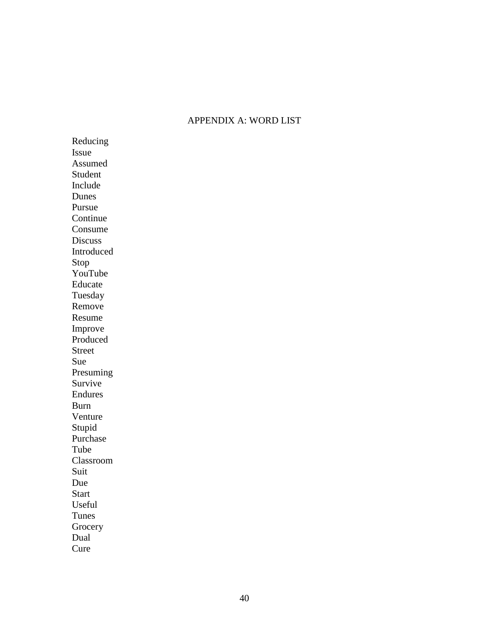## APPENDIX A: WORD LIST

Reducing Issue Assumed Student Include Dunes Pursue Continue Consume Discuss Introduced Stop YouTube Educate Tuesday Remove Resume Improve Produced Street Sue Presuming Survive Endures Burn Venture Stupid Purchase Tube Classroom Suit Due **Start** Useful Tunes Grocery Dual Cure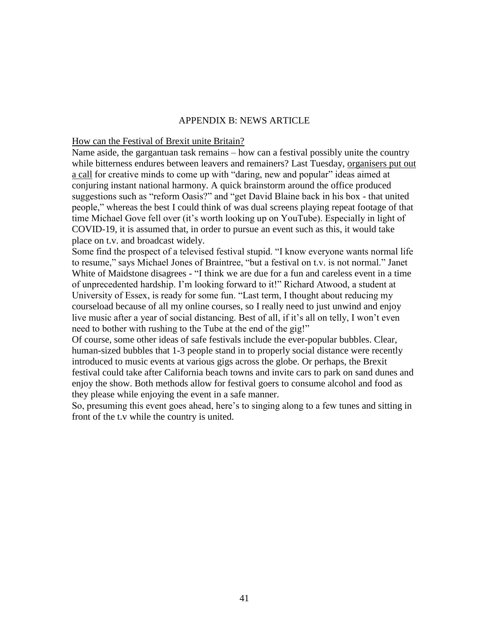#### APPENDIX B: NEWS ARTICLE

#### How can the Festival of Brexit unite Britain?

Name aside, the gargantuan task remains – how can a festival possibly unite the country while bitterness endures between leavers and remainers? Last Tuesday, [organisers put out](https://www.bbc.co.uk/news/entertainment-arts-54069456)  [a call](https://www.bbc.co.uk/news/entertainment-arts-54069456) for creative minds to come up with "daring, new and popular" ideas aimed at conjuring instant national harmony. A quick brainstorm around the office produced suggestions such as "reform Oasis?" and "get David Blaine back in his box - that united people," whereas the best I could think of was dual screens playing repeat footage of that time Michael Gove fell over (it's worth looking up on YouTube). Especially in light of COVID-19, it is assumed that, in order to pursue an event such as this, it would take place on t.v. and broadcast widely.

Some find the prospect of a televised festival stupid. "I know everyone wants normal life to resume," says Michael Jones of Braintree, "but a festival on t.v. is not normal." Janet White of Maidstone disagrees - "I think we are due for a fun and careless event in a time of unprecedented hardship. I'm looking forward to it!" Richard Atwood, a student at University of Essex, is ready for some fun. "Last term, I thought about reducing my courseload because of all my online courses, so I really need to just unwind and enjoy live music after a year of social distancing. Best of all, if it's all on telly, I won't even need to bother with rushing to the Tube at the end of the gig!"

Of course, some other ideas of safe festivals include the ever-popular bubbles. Clear, human-sized bubbles that 1-3 people stand in to properly social distance were recently introduced to music events at various gigs across the globe. Or perhaps, the Brexit festival could take after California beach towns and invite cars to park on sand dunes and enjoy the show. Both methods allow for festival goers to consume alcohol and food as they please while enjoying the event in a safe manner.

So, presuming this event goes ahead, here's to singing along to a few tunes and sitting in front of the t.v while the country is united.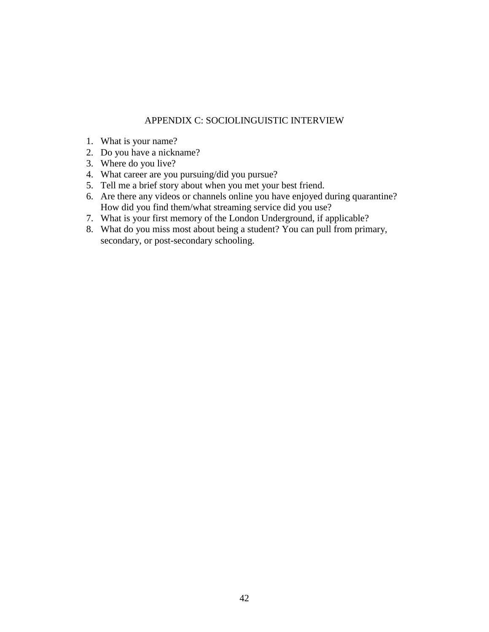## APPENDIX C: SOCIOLINGUISTIC INTERVIEW

- 1. What is your name?
- 2. Do you have a nickname?
- 3. Where do you live?
- 4. What career are you pursuing/did you pursue?
- 5. Tell me a brief story about when you met your best friend.
- 6. Are there any videos or channels online you have enjoyed during quarantine? How did you find them/what streaming service did you use?
- 7. What is your first memory of the London Underground, if applicable?
- 8. What do you miss most about being a student? You can pull from primary, secondary, or post-secondary schooling.